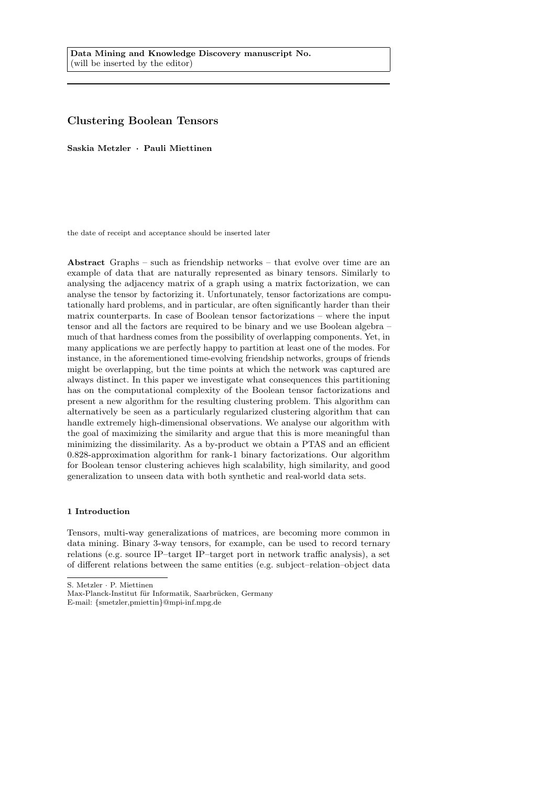# <span id="page-0-0"></span>Clustering Boolean Tensors

Saskia Metzler · Pauli Miettinen

the date of receipt and acceptance should be inserted later

Abstract Graphs – such as friendship networks – that evolve over time are an example of data that are naturally represented as binary tensors. Similarly to analysing the adjacency matrix of a graph using a matrix factorization, we can analyse the tensor by factorizing it. Unfortunately, tensor factorizations are computationally hard problems, and in particular, are often significantly harder than their matrix counterparts. In case of Boolean tensor factorizations – where the input tensor and all the factors are required to be binary and we use Boolean algebra – much of that hardness comes from the possibility of overlapping components. Yet, in many applications we are perfectly happy to partition at least one of the modes. For instance, in the aforementioned time-evolving friendship networks, groups of friends might be overlapping, but the time points at which the network was captured are always distinct. In this paper we investigate what consequences this partitioning has on the computational complexity of the Boolean tensor factorizations and present a new algorithm for the resulting clustering problem. This algorithm can alternatively be seen as a particularly regularized clustering algorithm that can handle extremely high-dimensional observations. We analyse our algorithm with the goal of maximizing the similarity and argue that this is more meaningful than minimizing the dissimilarity. As a by-product we obtain a PTAS and an efficient 0.828-approximation algorithm for rank-1 binary factorizations. Our algorithm for Boolean tensor clustering achieves high scalability, high similarity, and good generalization to unseen data with both synthetic and real-world data sets.

#### 1 Introduction

Tensors, multi-way generalizations of matrices, are becoming more common in data mining. Binary 3-way tensors, for example, can be used to record ternary relations (e.g. source IP–target IP–target port in network traffic analysis), a set of different relations between the same entities (e.g. subject–relation–object data

S. Metzler · P. Miettinen

Max-Planck-Institut für Informatik, Saarbrücken, Germany

E-mail: {smetzler,pmiettin}@mpi-inf.mpg.de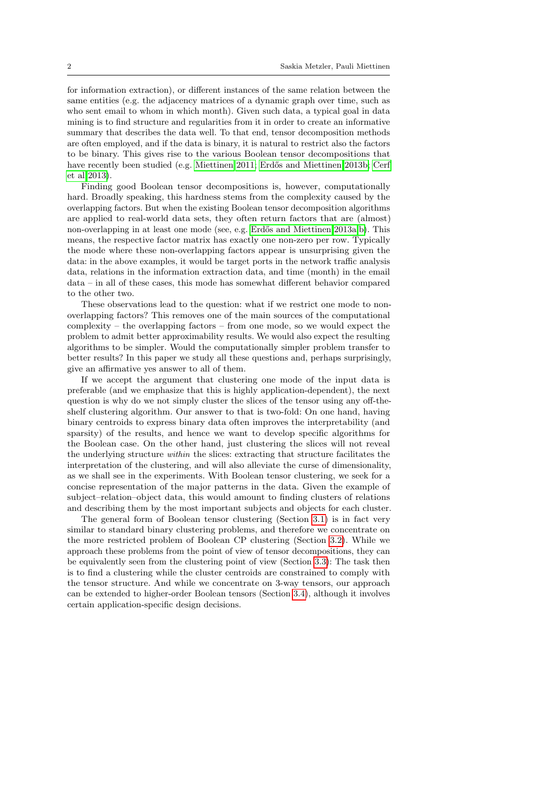for information extraction), or different instances of the same relation between the same entities (e.g. the adjacency matrices of a dynamic graph over time, such as who sent email to whom in which month). Given such data, a typical goal in data mining is to find structure and regularities from it in order to create an informative summary that describes the data well. To that end, tensor decomposition methods are often employed, and if the data is binary, it is natural to restrict also the factors to be binary. This gives rise to the various Boolean tensor decompositions that have recently been studied (e.g. [Miettinen 2011;](#page-27-0) Erdős and Miettinen 2013b; [Cerf](#page-26-0) [et al 2013\)](#page-26-0).

Finding good Boolean tensor decompositions is, however, computationally hard. Broadly speaking, this hardness stems from the complexity caused by the overlapping factors. But when the existing Boolean tensor decomposition algorithms are applied to real-world data sets, they often return factors that are (almost) non-overlapping in at least one mode (see, e.g. Erdős and Miettinen 2013a,[b\)](#page-27-1). This means, the respective factor matrix has exactly one non-zero per row. Typically the mode where these non-overlapping factors appear is unsurprising given the data: in the above examples, it would be target ports in the network traffic analysis data, relations in the information extraction data, and time (month) in the email data – in all of these cases, this mode has somewhat different behavior compared to the other two.

These observations lead to the question: what if we restrict one mode to nonoverlapping factors? This removes one of the main sources of the computational complexity – the overlapping factors – from one mode, so we would expect the problem to admit better approximability results. We would also expect the resulting algorithms to be simpler. Would the computationally simpler problem transfer to better results? In this paper we study all these questions and, perhaps surprisingly, give an affirmative yes answer to all of them.

If we accept the argument that clustering one mode of the input data is preferable (and we emphasize that this is highly application-dependent), the next question is why do we not simply cluster the slices of the tensor using any off-theshelf clustering algorithm. Our answer to that is two-fold: On one hand, having binary centroids to express binary data often improves the interpretability (and sparsity) of the results, and hence we want to develop specific algorithms for the Boolean case. On the other hand, just clustering the slices will not reveal the underlying structure within the slices: extracting that structure facilitates the interpretation of the clustering, and will also alleviate the curse of dimensionality, as we shall see in the experiments. With Boolean tensor clustering, we seek for a concise representation of the major patterns in the data. Given the example of subject–relation–object data, this would amount to finding clusters of relations and describing them by the most important subjects and objects for each cluster.

The general form of Boolean tensor clustering (Section [3.1\)](#page-4-0) is in fact very similar to standard binary clustering problems, and therefore we concentrate on the more restricted problem of Boolean CP clustering (Section [3.2\)](#page-4-1). While we approach these problems from the point of view of tensor decompositions, they can be equivalently seen from the clustering point of view (Section [3.3\)](#page-5-0): The task then is to find a clustering while the cluster centroids are constrained to comply with the tensor structure. And while we concentrate on 3-way tensors, our approach can be extended to higher-order Boolean tensors (Section [3.4\)](#page-6-0), although it involves certain application-specific design decisions.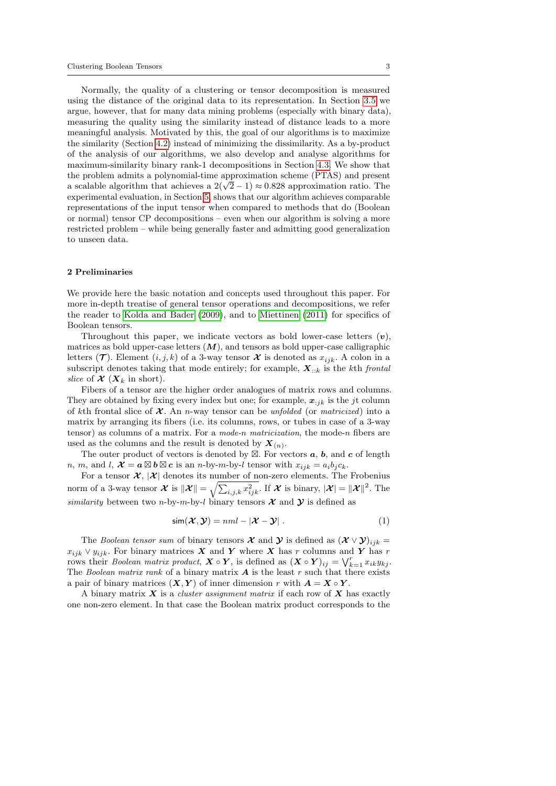Normally, the quality of a clustering or tensor decomposition is measured using the distance of the original data to its representation. In Section [3.5](#page-6-1) we argue, however, that for many data mining problems (especially with binary data), measuring the quality using the similarity instead of distance leads to a more meaningful analysis. Motivated by this, the goal of our algorithms is to maximize the similarity (Section [4.2\)](#page-8-0) instead of minimizing the dissimilarity. As a by-product of the analysis of our algorithms, we also develop and analyse algorithms for maximum-similarity binary rank-1 decompositions in Section [4.3.](#page-9-0) We show that the problem admits a polynomial-time approximation scheme (PTAS) and present a scalable algorithm that achieves a  $2(\sqrt{2}-1) \approx 0.828$  approximation ratio. The experimental evaluation, in Section [5,](#page-12-0) shows that our algorithm achieves comparable representations of the input tensor when compared to methods that do (Boolean or normal) tensor CP decompositions – even when our algorithm is solving a more restricted problem – while being generally faster and admitting good generalization to unseen data.

### 2 Preliminaries

We provide here the basic notation and concepts used throughout this paper. For more in-depth treatise of general tensor operations and decompositions, we refer the reader to [Kolda and Bader](#page-27-2) [\(2009\)](#page-27-2), and to [Miettinen](#page-27-0) [\(2011\)](#page-27-0) for specifics of Boolean tensors.

Throughout this paper, we indicate vectors as bold lower-case letters  $(v)$ , matrices as bold upper-case letters  $(M)$ , and tensors as bold upper-case calligraphic letters  $(\mathcal{T})$ . Element  $(i, j, k)$  of a 3-way tensor  $\mathcal X$  is denoted as  $x_{ijk}$ . A colon in a subscript denotes taking that mode entirely; for example,  $\mathbf{X}_{i:k}$  is the kth frontal slice of  $\mathcal{X}(X_k)$  in short).

Fibers of a tensor are the higher order analogues of matrix rows and columns. They are obtained by fixing every index but one; for example,  $x_{ijk}$  is the jt column of kth frontal slice of  $\mathcal X$ . An *n*-way tensor can be unfolded (or matricized) into a matrix by arranging its fibers (i.e. its columns, rows, or tubes in case of a 3-way tensor) as columns of a matrix. For a mode-n matricization, the mode-n fibers are used as the columns and the result is denoted by  $X_{(n)}$ .

The outer product of vectors is denoted by  $\boxtimes$ . For vectors  $a, b$ , and  $c$  of length n, m, and l,  $\mathcal{X} = a \boxtimes b \boxtimes c$  is an n-by-m-by-l tensor with  $x_{ijk} = a_i b_j c_k$ .

For a tensor  $\mathcal{X}, |\mathcal{X}|$  denotes its number of non-zero elements. The Frobenius norm of a 3-way tensor  $\mathcal X$  is  $\|\mathcal X\| = \sqrt{\sum_{i,j,k} x_{ijk}^2}$ . If  $\mathcal X$  is binary,  $|\mathcal X| = \|\mathcal X\|^2$ . The similarity between two n-by-m-by-l binary tensors  $\mathcal X$  and  $\mathcal Y$  is defined as

$$
\operatorname{sim}(\mathcal{X}, \mathcal{Y}) = nml - |\mathcal{X} - \mathcal{Y}| \ . \tag{1}
$$

The Boolean tensor sum of binary tensors  $\mathcal X$  and  $\mathcal Y$  is defined as  $(\mathcal X \vee \mathcal Y)_{ijk} =$  $x_{ijk} \vee y_{ijk}$ . For binary matrices X and Y where X has r columns and Y has r rows their *Boolean matrix product*,  $\mathbf{X} \circ \mathbf{Y}$ , is defined as  $(\mathbf{X} \circ \mathbf{Y})_{ij} = \bigvee_{k=1}^{r} x_{ik}y_{kj}$ . The Boolean matrix rank of a binary matrix  $A$  is the least r such that there exists a pair of binary matrices  $(X, Y)$  of inner dimension r with  $A = X \circ Y$ .

A binary matrix  $X$  is a *cluster assignment matrix* if each row of  $X$  has exactly one non-zero element. In that case the Boolean matrix product corresponds to the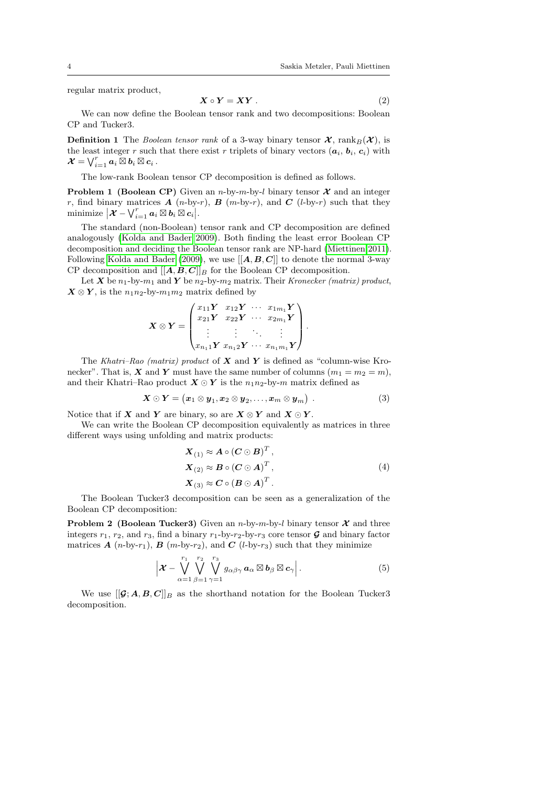regular matrix product,

<span id="page-3-1"></span>
$$
X \circ Y = XY . \tag{2}
$$

We can now define the Boolean tensor rank and two decompositions: Boolean CP and Tucker3.

**Definition 1** The Boolean tensor rank of a 3-way binary tensor  $\mathcal{X}$ , rank  $B(\mathcal{X})$ , is the least integer r such that there exist r triplets of binary vectors  $(a_i, b_i, c_i)$  with  $\bm{\mathcal{X}}=\bigvee_{i=1}^{r}\bm{a}_i\ \overline{\boxtimes}\ \bm{b}_i\ \overline{\boxtimes}\ \bm{c}_i$  .

The low-rank Boolean tensor CP decomposition is defined as follows.

**Problem 1 (Boolean CP)** Given an *n*-by-*m*-by-l binary tensor  $\mathcal{X}$  and an integer r, find binary matrices  $A(n-by-r)$ ,  $B(m-by-r)$ , and  $C(l-by-r)$  such that they minimize  $\big|\boldsymbol{\mathcal{X}}-\bigvee_{i=1}^{r}\boldsymbol{a}_{i}\boxtimes\boldsymbol{b}_{i}\boxtimes\boldsymbol{c}_{i}\big|.$ 

The standard (non-Boolean) tensor rank and CP decomposition are defined analogously [\(Kolda and Bader 2009\)](#page-27-2). Both finding the least error Boolean CP decomposition and deciding the Boolean tensor rank are NP-hard [\(Miettinen 2011\)](#page-27-0). Following [Kolda and Bader](#page-27-2) [\(2009\)](#page-27-2), we use  $[[A, B, C]]$  to denote the normal 3-way CP decomposition and  $[[A, B, C]]_B$  for the Boolean CP decomposition.

Let X be  $n_1$ -by- $m_1$  and Y be  $n_2$ -by- $m_2$  matrix. Their Kronecker (matrix) product,  $X \otimes Y$ , is the  $n_1 n_2$ -by- $m_1 m_2$  matrix defined by

$$
\boldsymbol{X} \otimes \boldsymbol{Y} = \begin{pmatrix} x_{11} \boldsymbol{Y} & x_{12} \boldsymbol{Y} & \cdots & x_{1m_1} \boldsymbol{Y} \\ x_{21} \boldsymbol{Y} & x_{22} \boldsymbol{Y} & \cdots & x_{2m_1} \boldsymbol{Y} \\ \vdots & \vdots & \ddots & \vdots \\ x_{n_1 1} \boldsymbol{Y} & x_{n_1 2} \boldsymbol{Y} & \cdots & x_{n_1 m_1} \boldsymbol{Y} \end{pmatrix}.
$$

The Khatri–Rao (matrix) product of  $X$  and  $Y$  is defined as "column-wise Kronecker". That is, X and Y must have the same number of columns  $(m_1 = m_2 = m)$ , and their Khatri–Rao product  $X \odot Y$  is the  $n_1 n_2$ -by-m matrix defined as

$$
\boldsymbol{X} \odot \boldsymbol{Y} = (\boldsymbol{x}_1 \otimes \boldsymbol{y}_1, \boldsymbol{x}_2 \otimes \boldsymbol{y}_2, \ldots, \boldsymbol{x}_m \otimes \boldsymbol{y}_m) \tag{3}
$$

Notice that if X and Y are binary, so are  $X \otimes Y$  and  $X \odot Y$ .

We can write the Boolean CP decomposition equivalently as matrices in three different ways using unfolding and matrix products:

<span id="page-3-0"></span>
$$
\mathbf{X}_{(1)} \approx \mathbf{A} \circ (\mathbf{C} \odot \mathbf{B})^T, \n\mathbf{X}_{(2)} \approx \mathbf{B} \circ (\mathbf{C} \odot \mathbf{A})^T, \n\mathbf{X}_{(3)} \approx \mathbf{C} \circ (\mathbf{B} \odot \mathbf{A})^T.
$$
\n(4)

The Boolean Tucker3 decomposition can be seen as a generalization of the Boolean CP decomposition:

**Problem 2 (Boolean Tucker3)** Given an *n*-by-*m*-by-*l* binary tensor  $X$  and three integers  $r_1$ ,  $r_2$ , and  $r_3$ , find a binary  $r_1$ -by- $r_2$ -by- $r_3$  core tensor  $\mathcal G$  and binary factor matrices  $\boldsymbol{A}$  (n-by-r<sub>1</sub>),  $\boldsymbol{B}$  (m-by-r<sub>2</sub>), and  $\boldsymbol{C}$  (l-by-r<sub>3</sub>) such that they minimize

$$
\left|\boldsymbol{\mathcal{X}}-\bigvee_{\alpha=1}^{r_1}\bigvee_{\beta=1}^{r_2}\bigvee_{\gamma=1}^{r_3}g_{\alpha\beta\gamma}\boldsymbol{a}_{\alpha}\boxtimes\boldsymbol{b}_{\beta}\boxtimes\boldsymbol{c}_{\gamma}\right|.
$$
 (5)

We use  $[[G; A, B, C]]_B$  as the shorthand notation for the Boolean Tucker3 decomposition.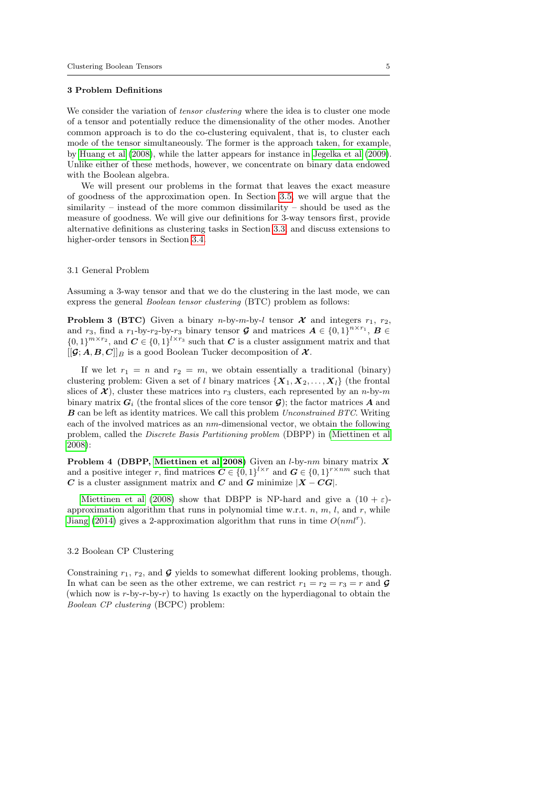#### 3 Problem Definitions

We consider the variation of *tensor clustering* where the idea is to cluster one mode of a tensor and potentially reduce the dimensionality of the other modes. Another common approach is to do the co-clustering equivalent, that is, to cluster each mode of the tensor simultaneously. The former is the approach taken, for example, by [Huang et al](#page-27-3) [\(2008\)](#page-27-3), while the latter appears for instance in [Jegelka et al](#page-27-4) [\(2009\)](#page-27-4). Unlike either of these methods, however, we concentrate on binary data endowed with the Boolean algebra.

We will present our problems in the format that leaves the exact measure of goodness of the approximation open. In Section [3.5,](#page-6-1) we will argue that the similarity – instead of the more common dissimilarity – should be used as the measure of goodness. We will give our definitions for 3-way tensors first, provide alternative definitions as clustering tasks in Section [3.3,](#page-5-0) and discuss extensions to higher-order tensors in Section [3.4.](#page-6-0)

### <span id="page-4-0"></span>3.1 General Problem

Assuming a 3-way tensor and that we do the clustering in the last mode, we can express the general Boolean tensor clustering (BTC) problem as follows:

**Problem 3 (BTC)** Given a binary n-by-m-by-l tensor  $\mathcal{X}$  and integers  $r_1$ ,  $r_2$ , and  $r_3$ , find a  $r_1$ -by- $r_2$ -by- $r_3$  binary tensor  $\mathcal G$  and matrices  $\mathcal A \in \{0,1\}^{n \times r_1}$ ,  $\mathcal B \in$  $\{0,1\}^{m \times r_2}$ , and  $\boldsymbol{C} \in \{0,1\}^{l \times r_3}$  such that  $\boldsymbol{C}$  is a cluster assignment matrix and that  $[[G; A, B, C]]_B$  is a good Boolean Tucker decomposition of  $\mathcal{X}$ .

If we let  $r_1 = n$  and  $r_2 = m$ , we obtain essentially a traditional (binary) clustering problem: Given a set of l binary matrices  $\{X_1, X_2, \ldots, X_l\}$  (the frontal slices of  $\mathcal{X}$ ), cluster these matrices into  $r_3$  clusters, each represented by an n-by-m binary matrix  $G_i$  (the frontal slices of the core tensor  $\mathcal{G}$ ); the factor matrices A and B can be left as identity matrices. We call this problem Unconstrained BTC. Writing each of the involved matrices as an  $nm$ -dimensional vector, we obtain the following problem, called the Discrete Basis Partitioning problem (DBPP) in [\(Miettinen et al](#page-27-5) [2008\)](#page-27-5):

Problem 4 (DBPP, [Miettinen et al 2008\)](#page-27-5) Given an *l*-by-nm binary matrix X and a positive integer r, find matrices  $C \in \{0,1\}^{l \times r}$  and  $G \in \{0,1\}^{r \times nm}$  such that C is a cluster assignment matrix and C and G minimize  $|X - CG|$ .

[Miettinen et al](#page-27-5) [\(2008\)](#page-27-5) show that DBPP is NP-hard and give a  $(10 + \varepsilon)$ approximation algorithm that runs in polynomial time w.r.t.  $n, m, l$ , and r, while [Jiang](#page-27-6) [\(2014\)](#page-27-6) gives a 2-approximation algorithm that runs in time  $O(nml^r)$ .

### <span id="page-4-1"></span>3.2 Boolean CP Clustering

Constraining  $r_1$ ,  $r_2$ , and  $\boldsymbol{G}$  yields to somewhat different looking problems, though. In what can be seen as the other extreme, we can restrict  $r_1 = r_2 = r_3 = r$  and  $\mathcal{G}$ (which now is  $r$ -by- $r$ -by- $r$ ) to having 1s exactly on the hyperdiagonal to obtain the Boolean CP clustering (BCPC) problem: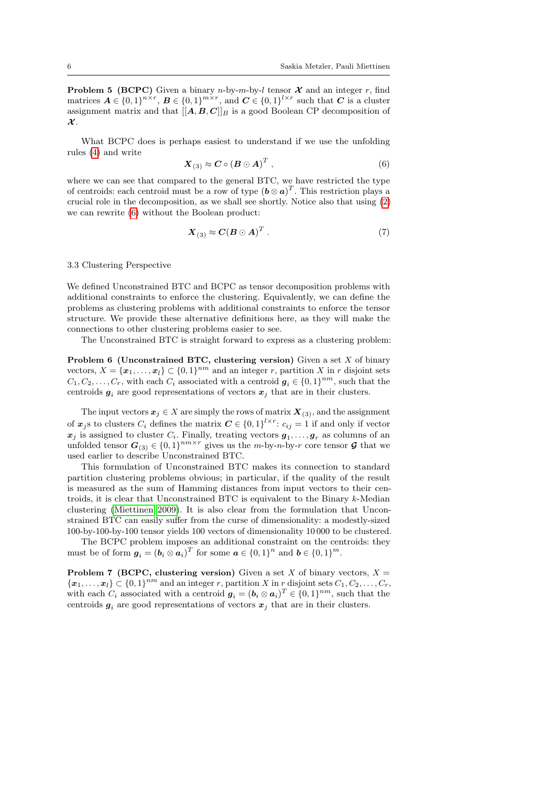**Problem 5 (BCPC)** Given a binary *n*-by-*m*-by-*l* tensor  $\mathcal{X}$  and an integer *r*, find matrices  $A \in \{0,1\}^{n \times r}$ ,  $B \in \{0,1\}^{m \times r}$ , and  $C \in \{0,1\}^{l \times r}$  such that C is a cluster assignment matrix and that  $[[A, B, C]]_B$  is a good Boolean CP decomposition of  $\mathcal{X}$ .

What BCPC does is perhaps easiest to understand if we use the unfolding rules [\(4\)](#page-3-0) and write

<span id="page-5-1"></span>
$$
\boldsymbol{X}_{(3)} \approx \boldsymbol{C} \circ (\boldsymbol{B} \odot \boldsymbol{A})^T , \qquad (6)
$$

where we can see that compared to the general BTC, we have restricted the type of centroids: each centroid must be a row of type  $(\mathbf{b} \otimes \mathbf{a})^T$ . This restriction plays a crucial role in the decomposition, as we shall see shortly. Notice also that using [\(2\)](#page-3-1) we can rewrite [\(6\)](#page-5-1) without the Boolean product:

<span id="page-5-2"></span>
$$
\mathbf{X}_{(3)} \approx \mathbf{C} (\mathbf{B} \odot \mathbf{A})^T \,. \tag{7}
$$

#### <span id="page-5-0"></span>3.3 Clustering Perspective

We defined Unconstrained BTC and BCPC as tensor decomposition problems with additional constraints to enforce the clustering. Equivalently, we can define the problems as clustering problems with additional constraints to enforce the tensor structure. We provide these alternative definitions here, as they will make the connections to other clustering problems easier to see.

The Unconstrained BTC is straight forward to express as a clustering problem:

<span id="page-5-3"></span>**Problem 6 (Unconstrained BTC, clustering version)** Given a set  $X$  of binary vectors,  $X = {\mathbf{x}_1, ..., \mathbf{x}_l} \subset \{0, 1\}^{nm}$  and an integer r, partition X in r disjoint sets  $C_1, C_2, \ldots, C_r$ , with each  $C_i$  associated with a centroid  $g_i \in \{0, 1\}^{nm}$ , such that the centroids  $g_i$  are good representations of vectors  $x_i$  that are in their clusters.

The input vectors  $x_j \in X$  are simply the rows of matrix  $\mathbf{X}_{(3)}$ , and the assignment of  $x_j$ s to clusters  $C_i$  defines the matrix  $C \in \{0,1\}^{l \times r}$ :  $c_{ij} = 1$  if and only if vector  $x_j$  is assigned to cluster  $C_i$ . Finally, treating vectors  $g_1, \ldots, g_r$  as columns of an unfolded tensor  $G_{(3)} \in \{0,1\}^{nm \times r}$  gives us the *m*-by-*n*-by-*r* core tensor  $\mathcal{G}$  that we used earlier to describe Unconstrained BTC.

This formulation of Unconstrained BTC makes its connection to standard partition clustering problems obvious; in particular, if the quality of the result is measured as the sum of Hamming distances from input vectors to their centroids, it is clear that Unconstrained BTC is equivalent to the Binary k-Median clustering [\(Miettinen 2009\)](#page-27-7). It is also clear from the formulation that Unconstrained BTC can easily suffer from the curse of dimensionality: a modestly-sized 100-by-100-by-100 tensor yields 100 vectors of dimensionality 10 000 to be clustered.

The BCPC problem imposes an additional constraint on the centroids: they must be of form  $g_i = (b_i \otimes a_i)^T$  for some  $a \in \{0,1\}^n$  and  $b \in \{0,1\}^m$ .

**Problem 7 (BCPC, clustering version)** Given a set X of binary vectors,  $X =$  $\{\boldsymbol{x}_1,\ldots,\boldsymbol{x}_l\} \subset \{0,1\}^{nm}$  and an integer r, partition X in r disjoint sets  $C_1, C_2, \ldots, C_r$ , with each  $C_i$  associated with a centroid  $g_i = (b_i \otimes a_i)^T \in \{0,1\}^{nm}$ , such that the centroids  $g_i$  are good representations of vectors  $x_j$  that are in their clusters.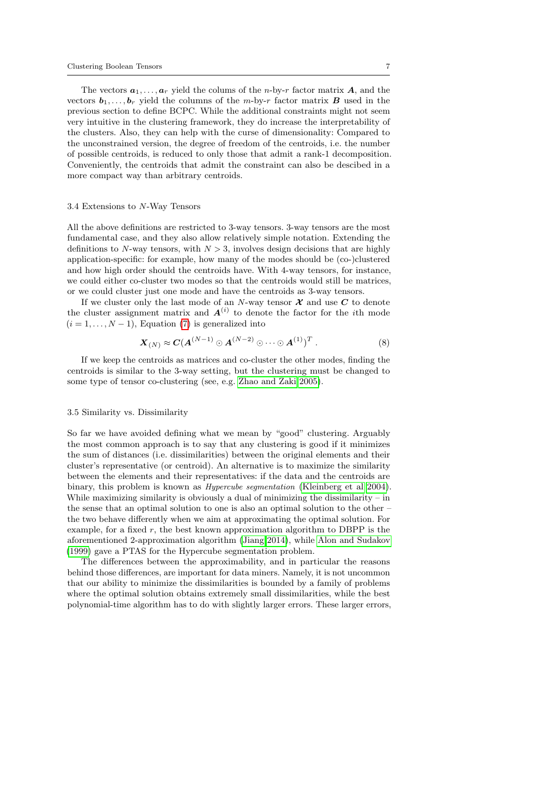The vectors  $a_1, \ldots, a_r$  yield the colums of the *n*-by-*r* factor matrix **A**, and the vectors  $b_1, \ldots, b_r$  yield the columns of the *m*-by-*r* factor matrix **B** used in the previous section to define BCPC. While the additional constraints might not seem very intuitive in the clustering framework, they do increase the interpretability of the clusters. Also, they can help with the curse of dimensionality: Compared to the unconstrained version, the degree of freedom of the centroids, i.e. the number of possible centroids, is reduced to only those that admit a rank-1 decomposition. Conveniently, the centroids that admit the constraint can also be descibed in a more compact way than arbitrary centroids.

#### <span id="page-6-0"></span>3.4 Extensions to N-Way Tensors

All the above definitions are restricted to 3-way tensors. 3-way tensors are the most fundamental case, and they also allow relatively simple notation. Extending the definitions to N-way tensors, with  $N > 3$ , involves design decisions that are highly application-specific: for example, how many of the modes should be (co-)clustered and how high order should the centroids have. With 4-way tensors, for instance, we could either co-cluster two modes so that the centroids would still be matrices, or we could cluster just one mode and have the centroids as 3-way tensors.

If we cluster only the last mode of an N-way tensor  $\mathcal X$  and use  $C$  to denote the cluster assignment matrix and  $A^{(i)}$  to denote the factor for the *i*th mode  $(i = 1, \ldots, N - 1)$ , Equation [\(7\)](#page-5-2) is generalized into

$$
\mathbf{X}_{(N)} \approx \mathbf{C} (\mathbf{A}^{(N-1)} \odot \mathbf{A}^{(N-2)} \odot \cdots \odot \mathbf{A}^{(1)})^T . \tag{8}
$$

If we keep the centroids as matrices and co-cluster the other modes, finding the centroids is similar to the 3-way setting, but the clustering must be changed to some type of tensor co-clustering (see, e.g. [Zhao and Zaki 2005\)](#page-28-0).

### <span id="page-6-1"></span>3.5 Similarity vs. Dissimilarity

So far we have avoided defining what we mean by "good" clustering. Arguably the most common approach is to say that any clustering is good if it minimizes the sum of distances (i.e. dissimilarities) between the original elements and their cluster's representative (or centroid). An alternative is to maximize the similarity between the elements and their representatives: if the data and the centroids are binary, this problem is known as Hypercube segmentation [\(Kleinberg et al 2004\)](#page-27-8). While maximizing similarity is obviously a dual of minimizing the dissimilarity – in the sense that an optimal solution to one is also an optimal solution to the other – the two behave differently when we aim at approximating the optimal solution. For example, for a fixed  $r$ , the best known approximation algorithm to DBPP is the aforementioned 2-approximation algorithm [\(Jiang 2014\)](#page-27-6), while [Alon and Sudakov](#page-26-2) [\(1999\)](#page-26-2) gave a PTAS for the Hypercube segmentation problem.

The differences between the approximability, and in particular the reasons behind those differences, are important for data miners. Namely, it is not uncommon that our ability to minimize the dissimilarities is bounded by a family of problems where the optimal solution obtains extremely small dissimilarities, while the best polynomial-time algorithm has to do with slightly larger errors. These larger errors,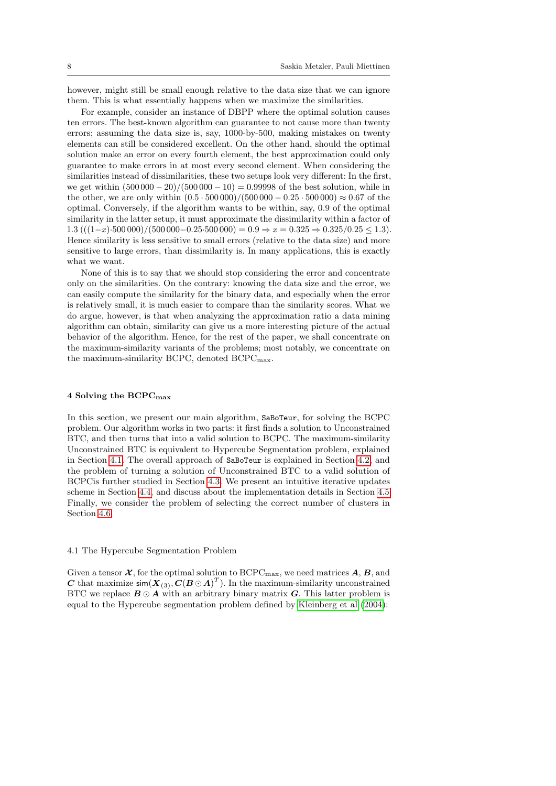however, might still be small enough relative to the data size that we can ignore them. This is what essentially happens when we maximize the similarities.

For example, consider an instance of DBPP where the optimal solution causes ten errors. The best-known algorithm can guarantee to not cause more than twenty errors; assuming the data size is, say, 1000-by-500, making mistakes on twenty elements can still be considered excellent. On the other hand, should the optimal solution make an error on every fourth element, the best approximation could only guarantee to make errors in at most every second element. When considering the similarities instead of dissimilarities, these two setups look very different: In the first, we get within  $(500\,000 - 20)/(500\,000 - 10) = 0.99998$  of the best solution, while in the other, we are only within  $(0.5 \cdot 500000)/(500000 - 0.25 \cdot 500000) \approx 0.67$  of the optimal. Conversely, if the algorithm wants to be within, say, 0.9 of the optimal similarity in the latter setup, it must approximate the dissimilarity within a factor of 1.3 (((1-x)·500 000)/(500 000−0.25·500 000) = 0.9  $\Rightarrow$  x = 0.325  $\Rightarrow$  0.325/0.25 ≤ 1.3). Hence similarity is less sensitive to small errors (relative to the data size) and more sensitive to large errors, than dissimilarity is. In many applications, this is exactly what we want.

None of this is to say that we should stop considering the error and concentrate only on the similarities. On the contrary: knowing the data size and the error, we can easily compute the similarity for the binary data, and especially when the error is relatively small, it is much easier to compare than the similarity scores. What we do argue, however, is that when analyzing the approximation ratio a data mining algorithm can obtain, similarity can give us a more interesting picture of the actual behavior of the algorithm. Hence, for the rest of the paper, we shall concentrate on the maximum-similarity variants of the problems; most notably, we concentrate on the maximum-similarity BCPC, denoted BCPC<sub>max</sub>.

### 4 Solving the BCPCmax

In this section, we present our main algorithm, SaBoTeur, for solving the BCPC problem. Our algorithm works in two parts: it first finds a solution to Unconstrained BTC, and then turns that into a valid solution to BCPC. The maximum-similarity Unconstrained BTC is equivalent to Hypercube Segmentation problem, explained in Section [4.1.](#page-7-0) The overall approach of SaBoTeur is explained in Section [4.2,](#page-8-0) and the problem of turning a solution of Unconstrained BTC to a valid solution of BCPCis further studied in Section [4.3.](#page-9-0) We present an intuitive iterative updates scheme in Section [4.4,](#page-11-0) and discuss about the implementation details in Section [4.5.](#page-11-1) Finally, we consider the problem of selecting the correct number of clusters in Section [4.6.](#page-12-1)

### <span id="page-7-0"></span>4.1 The Hypercube Segmentation Problem

Given a tensor  $\mathcal{X}$ , for the optimal solution to BCPC<sub>max</sub>, we need matrices  $\mathcal{A}, \mathcal{B}$ , and C that maximize  $\mathsf{sim}(X_{(3)}, C(B\odot A)^T)$ . In the maximum-similarity unconstrained BTC we replace  $B \odot A$  with an arbitrary binary matrix G. This latter problem is equal to the Hypercube segmentation problem defined by [Kleinberg et al](#page-27-8) [\(2004\)](#page-27-8):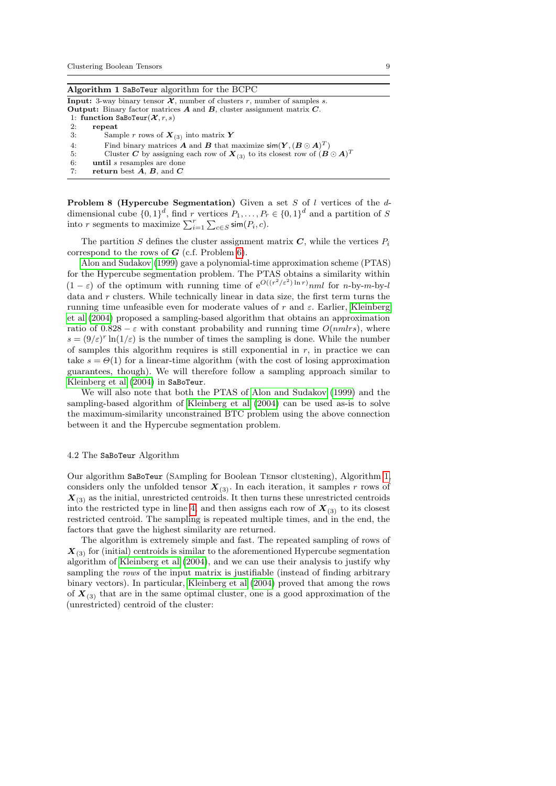| Algorithm 1 SaBoTeur algorithm for the BCPC |  |  |
|---------------------------------------------|--|--|
|---------------------------------------------|--|--|

<span id="page-8-1"></span>**Input:** 3-way binary tensor  $\mathcal{X}$ , number of clusters r, number of samples s.

**Output:** Binary factor matrices  $A$  and  $B$ , cluster assignment matrix  $C$ .

- 1: function SaBoTeur $(X, r, s)$ <br>2: repeat
- repeat
- 3: Sample *r* rows of  $\boldsymbol{X}_{(3)}$  into matrix **Y**
- 4: Find binary matrices **A** and **B** that maximize  $\textsf{sim}(\boldsymbol{Y}, (\boldsymbol{B} \odot \boldsymbol{A})^T)$
- 5: Cluster C by assigning each row of  $X_{(3)}$  to its closest row of  $(B \odot A)^T$
- 6: until s resamples are done 7: return best  $\vec{A}$ ,  $\vec{B}$ , and  $\vec{C}$

**Problem 8 (Hypercube Segmentation)** Given a set S of l vertices of the  $d$ dimensional cube  $\{0,1\}^d$ , find r vertices  $P_1, \ldots, P_r \in \{0,1\}^d$  and a partition of S into r segments to maximize  $\sum_{i=1}^{r} \sum_{c \in S} \mathsf{sim}(P_i, c)$ .

The partition S defines the cluster assignment matrix  $C$ , while the vertices  $P_i$ correspond to the rows of  $G$  (c.f. Problem [6\)](#page-5-3).

[Alon and Sudakov](#page-26-2) [\(1999\)](#page-26-2) gave a polynomial-time approximation scheme (PTAS) for the Hypercube segmentation problem. The PTAS obtains a similarity within  $(1 - \varepsilon)$  of the optimum with running time of  $e^{O((r^2/\varepsilon^2) \ln r)}$  for n-by-m-by-l data and r clusters. While technically linear in data size, the first term turns the running time unfeasible even for moderate values of r and  $\varepsilon$ . Earlier, [Kleinberg](#page-27-8) [et al](#page-27-8) [\(2004\)](#page-27-8) proposed a sampling-based algorithm that obtains an approximation ratio of  $0.828 - \varepsilon$  with constant probability and running time  $O(mmlrs)$ , where  $s = (9/\varepsilon)^r \ln(1/\varepsilon)$  is the number of times the sampling is done. While the number of samples this algorithm requires is still exponential in  $r$ , in practice we can take  $s = \Theta(1)$  for a linear-time algorithm (with the cost of losing approximation guarantees, though). We will therefore follow a sampling approach similar to [Kleinberg et al](#page-27-8) [\(2004\)](#page-27-8) in SaBoTeur.

We will also note that both the PTAS of [Alon and Sudakov](#page-26-2) [\(1999\)](#page-26-2) and the sampling-based algorithm of [Kleinberg et al](#page-27-8) [\(2004\)](#page-27-8) can be used as-is to solve the maximum-similarity unconstrained BTC problem using the above connection between it and the Hypercube segmentation problem.

### <span id="page-8-0"></span>4.2 The SaBoTeur Algorithm

Our algorithm SaBoTeur (Sampling for Boolean Tensor clustering), Algorithm [1,](#page-8-1) considers only the unfolded tensor  $X_{(3)}$ . In each iteration, it samples r rows of  $\mathbf{X}_{(3)}$  as the initial, unrestricted centroids. It then turns these unrestricted centroids into the restricted type in line [4,](#page-8-1) and then assigns each row of  $X_{(3)}$  to its closest restricted centroid. The sampling is repeated multiple times, and in the end, the factors that gave the highest similarity are returned.

<span id="page-8-2"></span>The algorithm is extremely simple and fast. The repeated sampling of rows of  $\mathbf{X}_{(3)}$  for (initial) centroids is similar to the aforementioned Hypercube segmentation algorithm of [Kleinberg et al](#page-27-8) [\(2004\)](#page-27-8), and we can use their analysis to justify why sampling the rows of the input matrix is justifiable (instead of finding arbitrary binary vectors). In particular, [Kleinberg et al](#page-27-8) [\(2004\)](#page-27-8) proved that among the rows of  $X_{(3)}$  that are in the same optimal cluster, one is a good approximation of the (unrestricted) centroid of the cluster: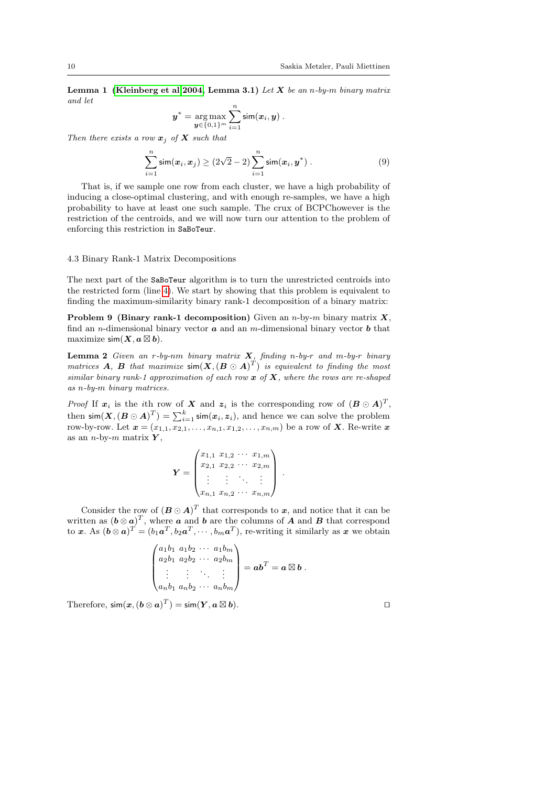Lemma 1 [\(Kleinberg et al 2004,](#page-27-8) Lemma 3.1) Let  $X$  be an n-by-m binary matrix and let

$$
\boldsymbol{y}^* = \argmax_{\boldsymbol{y} \in \{0,1\}^m} \sum_{i=1}^n \mathsf{sim}(\boldsymbol{x}_i, \boldsymbol{y}) .
$$

Then there exists a row  $x_j$  of X such that

$$
\sum_{i=1}^{n} \sin(x_i, x_j) \ge (2\sqrt{2} - 2) \sum_{i=1}^{n} \sin(x_i, y^*)
$$
 (9)

That is, if we sample one row from each cluster, we have a high probability of inducing a close-optimal clustering, and with enough re-samples, we have a high probability to have at least one such sample. The crux of BCPChowever is the restriction of the centroids, and we will now turn our attention to the problem of enforcing this restriction in SaBoTeur.

#### <span id="page-9-0"></span>4.3 Binary Rank-1 Matrix Decompositions

The next part of the SaBoTeur algorithm is to turn the unrestricted centroids into the restricted form (line [4\)](#page-8-1). We start by showing that this problem is equivalent to finding the maximum-similarity binary rank-1 decomposition of a binary matrix:

**Problem 9 (Binary rank-1 decomposition)** Given an *n*-by-*m* binary matrix  $X$ , find an *n*-dimensional binary vector  $\boldsymbol{a}$  and an *m*-dimensional binary vector  $\boldsymbol{b}$  that maximize  $\mathsf{sim}(X, a \boxtimes b)$ .

**Lemma 2** Given an r-by-nm binary matrix  $X$ , finding n-by-r and m-by-r binary matrices **A**, **B** that maximize  $\textsf{sim}(\textbf{X}, (\textbf{B} \odot \textbf{A})^T)$  is equivalent to finding the most similar binary rank-1 approximation of each row  $x$  of  $X$ , where the rows are re-shaped as n-by-m binary matrices.

*Proof* If  $x_i$  is the *i*th row of X and  $z_i$  is the corresponding row of  $(B \odot A)^T$ , then  $\textsf{sim}(\bm{X}, (\bm{B} \odot \bm{A})^T) = \sum_{i=1}^k \textsf{sim}(\bm{x}_i, \bm{z}_i)$ , and hence we can solve the problem row-by-row. Let  $\mathbf{x} = (x_{1,1}, x_{2,1}, \ldots, x_{n,1}, x_{1,2}, \ldots, x_{n,m})$  be a row of X. Re-write  $\mathbf{x}$ as an *n*-by-*m* matrix  $Y$ ,

$$
\boldsymbol{Y} = \begin{pmatrix} x_{1,1} & x_{1,2} & \cdots & x_{1,m} \\ x_{2,1} & x_{2,2} & \cdots & x_{2,m} \\ \vdots & \vdots & \ddots & \vdots \\ x_{n,1} & x_{n,2} & \cdots & x_{n,m} \end{pmatrix}
$$

.

Consider the row of  $(B \odot A)^T$  that corresponds to x, and notice that it can be written as  $(\boldsymbol{b} \otimes \boldsymbol{a})^T$ , where  $\boldsymbol{a}$  and  $\boldsymbol{b}$  are the columns of  $\boldsymbol{A}$  and  $\boldsymbol{B}$  that correspond to x. As  $(\bm{b} \otimes \bm{a})^T = (b_1 \bm{a}^T, b_2 \bm{a}^T, \cdots, b_m \bm{a}^T)$ , re-writing it similarly as x we obtain

$$
\begin{pmatrix} a_1b_1 & a_1b_2 & \cdots & a_1b_m \\ a_2b_1 & a_2b_2 & \cdots & a_2b_m \\ \vdots & \vdots & \ddots & \vdots \\ a_nb_1 & a_nb_2 & \cdots & a_nb_m \end{pmatrix} = \boldsymbol{ab}^T = \boldsymbol{a} \boxtimes \boldsymbol{b}.
$$

Therefore,  $\mathsf{sim}(\boldsymbol{x},(\boldsymbol{b} \otimes \boldsymbol{a})^T) = \mathsf{sim}(\boldsymbol{Y}, \boldsymbol{a} \boxtimes$  $\bullet$ ).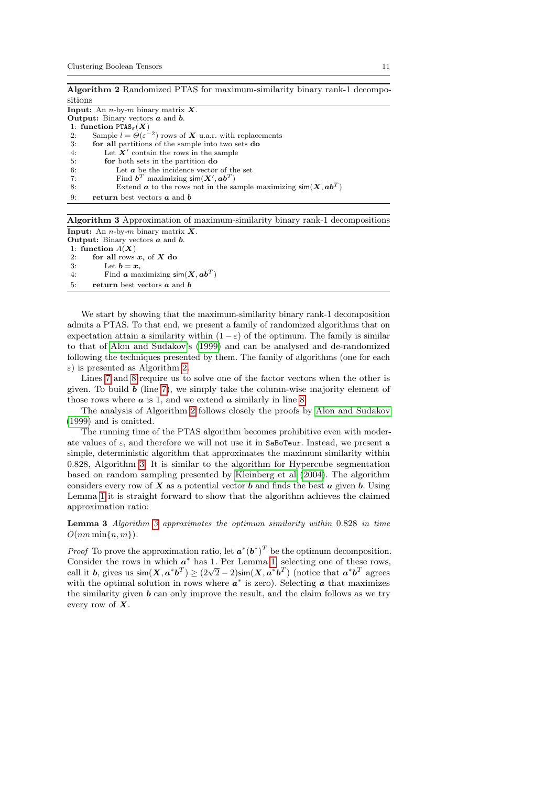<span id="page-10-0"></span>

| Algorithm 2 Randomized PTAS for maximum-similarity binary rank-1 decompo-                                                             |
|---------------------------------------------------------------------------------------------------------------------------------------|
| sitions                                                                                                                               |
| <b>Input:</b> An <i>n</i> -by- <i>m</i> binary matrix $X$ .                                                                           |
| <b>Output:</b> Binary vectors $\boldsymbol{a}$ and $\boldsymbol{b}$ .                                                                 |
| 1: function $PTAS_{\epsilon}(X)$                                                                                                      |
| Sample $l = \Theta(\varepsilon^{-2})$ rows of <b>X</b> u.a.r. with replacements<br>2:                                                 |
| 3:<br>for all partitions of the sample into two sets do                                                                               |
| Let $X'$ contain the rows in the sample<br>4:                                                                                         |
| 5:<br>for both sets in the partition do                                                                                               |
| Let $\boldsymbol{a}$ be the incidence vector of the set<br>6:                                                                         |
| Find $\mathbf{b}^T$ maximizing $\operatorname{\mathsf{sim}}(\mathbf{X}', \mathbf{a}\mathbf{b}^T)$<br>7:                               |
| Extend $\boldsymbol{a}$ to the rows not in the sample maximizing $\textsf{sim}(\boldsymbol{X}, \boldsymbol{a}\boldsymbol{b}^T)$<br>8: |
| 9:<br><b>return</b> best vectors $\boldsymbol{a}$ and $\boldsymbol{b}$                                                                |
|                                                                                                                                       |

Algorithm 3 Approximation of maximum-similarity binary rank-1 decompositions

<span id="page-10-1"></span>**Input:** An *n*-by-*m* binary matrix  $\boldsymbol{X}$ . **Output:** Binary vectors  $a$  and  $b$ . 1: function  $A(X)$ 

2: for all rows  $x_i$  of X do 3: Let  $b = x_i$ . Let  $\mathbf{b} = \mathbf{x}_i$ 

4: Find **a** maximizing  $\textsf{sim}(X, ab^T)$ 

5: **return** best vectors  $\boldsymbol{a}$  and  $\boldsymbol{b}$ 

We start by showing that the maximum-similarity binary rank-1 decomposition admits a PTAS. To that end, we present a family of randomized algorithms that on expectation attain a similarity within  $(1 - \varepsilon)$  of the optimum. The family is similar to that of [Alon and Sudakov'](#page-26-2)s [\(1999\)](#page-26-2) and can be analysed and de-randomized following the techniques presented by them. The family of algorithms (one for each  $\varepsilon$ ) is presented as Algorithm [2.](#page-10-0)

Lines [7](#page-10-0) and [8](#page-10-0) require us to solve one of the factor vectors when the other is given. To build  $\boldsymbol{b}$  (line [7\)](#page-10-0), we simply take the column-wise majority element of those rows where  $\boldsymbol{a}$  is 1, and we extend  $\boldsymbol{a}$  similarly in line [8.](#page-10-0)

The analysis of Algorithm [2](#page-10-0) follows closely the proofs by [Alon and Sudakov](#page-26-2) [\(1999\)](#page-26-2) and is omitted.

The running time of the PTAS algorithm becomes prohibitive even with moderate values of  $\varepsilon$ , and therefore we will not use it in SaBoTeur. Instead, we present a simple, deterministic algorithm that approximates the maximum similarity within 0.828, Algorithm [3.](#page-10-1) It is similar to the algorithm for Hypercube segmentation based on random sampling presented by [Kleinberg et al](#page-27-8) [\(2004\)](#page-27-8). The algorithm considers every row of  $X$  as a potential vector  $b$  and finds the best  $a$  given  $b$ . Using Lemma [1](#page-8-2) it is straight forward to show that the algorithm achieves the claimed approximation ratio:

Lemma 3 Algorithm [3](#page-10-1) approximates the optimum similarity within 0.828 in time  $O(nm \min\{n, m\}).$ 

*Proof* To prove the approximation ratio, let  $a^*(b^*)^T$  be the optimum decomposition. Consider the rows in which  $a^*$  has 1. Per Lemma [1,](#page-8-2) selecting one of these rows, Consider the rows in which  $\hat{a}$  has 1. Fer Lemma 1, selecting one of these rows<br>call it b, gives us  $\sin(X, a^*b^T) \ge (2\sqrt{2} - 2)\sin(X, a^*b^T)$  (notice that  $a^*b^T$  agrees with the optimal solution in rows where  $a^*$  is zero). Selecting a that maximizes the similarity given  **can only improve the result, and the claim follows as we try** every row of  $X$ .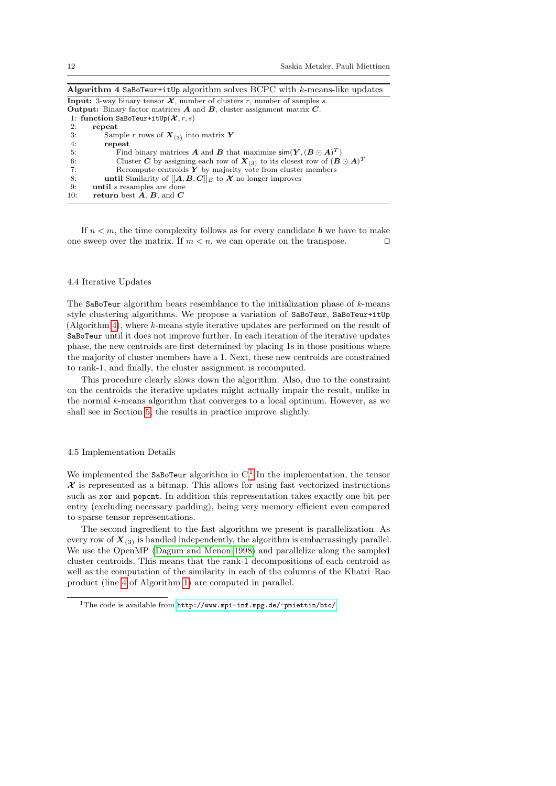<span id="page-11-2"></span>Algorithm  $4$  SaBoTeur+itUp algorithm solves BCPC with k-means-like updates **Input:** 3-way binary tensor  $\mathcal{X}$ , number of clusters r, number of samples s. **Output:** Binary factor matrices  $A$  and  $B$ , cluster assignment matrix  $C$ . 1: function SaBoTeur+itUp( $\mathcal{X}, r, s$ ) 2: repeat 3: Sample *r* rows of  $X_{(3)}$  into matrix  $Y$ <br>4: **repeat** 4: **repeat**<br>5: Fino 5: Find binary matrices **A** and **B** that maximize  $\mathsf{sim}(\boldsymbol{Y}, (\boldsymbol{B} \odot \boldsymbol{A})^T)$ 6: Cluster C by assigning each row of  $\mathbf{X}_{(3)}$  to its closest row of  $(\mathbf{B} \odot \mathbf{A})^T$ 7: Recompute centroids  $\hat{Y}$  by majority vote from cluster members 8: **until** Similarity of  $[[A, B, C]]_B$  to  $\mathcal{X}$  no longer improves until Similarity of  $[[A, B, C]]_B$  to  $\mathcal X$  no longer improves 9: until s resamples are done 10: return best  $A, B$ , and  $C$ 

If  $n < m$ , the time complexity follows as for every candidate **b** we have to make one sweep over the matrix. If  $m < n$ , we can operate on the transpose.

#### <span id="page-11-0"></span>4.4 Iterative Updates

The SaBoTeur algorithm bears resemblance to the initialization phase of  $k$ -means style clustering algorithms. We propose a variation of SaBoTeur, SaBoTeur+itUp (Algorithm [4\)](#page-11-2), where k-means style iterative updates are performed on the result of SaBoTeur until it does not improve further. In each iteration of the iterative updates phase, the new centroids are first determined by placing 1s in those positions where the majority of cluster members have a 1. Next, these new centroids are constrained to rank-1, and finally, the cluster assignment is recomputed.

This procedure clearly slows down the algorithm. Also, due to the constraint on the centroids the iterative updates might actually impair the result, unlike in the normal k-means algorithm that converges to a local optimum. However, as we shall see in Section [5,](#page-12-0) the results in practice improve slightly.

#### <span id="page-11-1"></span>4.5 Implementation Details

We implemented the SaBoTeur algorithm in  $C<sup>1</sup>$  $C<sup>1</sup>$  $C<sup>1</sup>$ . In the implementation, the tensor  $\mathcal X$  is represented as a bitmap. This allows for using fast vectorized instructions such as xor and popcnt. In addition this representation takes exactly one bit per entry (excluding necessary padding), being very memory efficient even compared to sparse tensor representations.

The second ingredient to the fast algorithm we present is parallelization. As every row of  $X_{(3)}$  is handled independently, the algorithm is embarrassingly parallel. We use the OpenMP [\(Dagum and Menon 1998\)](#page-26-3) and parallelize along the sampled cluster centroids. This means that the rank-1 decompositions of each centroid as well as the computation of the similarity in each of the columns of the Khatri–Rao product (line [4](#page-8-1) of Algorithm [1\)](#page-8-1) are computed in parallel.

<sup>&</sup>lt;sup>1</sup>The code is available from <http://www.mpi-inf.mpg.de/~pmiettin/btc/>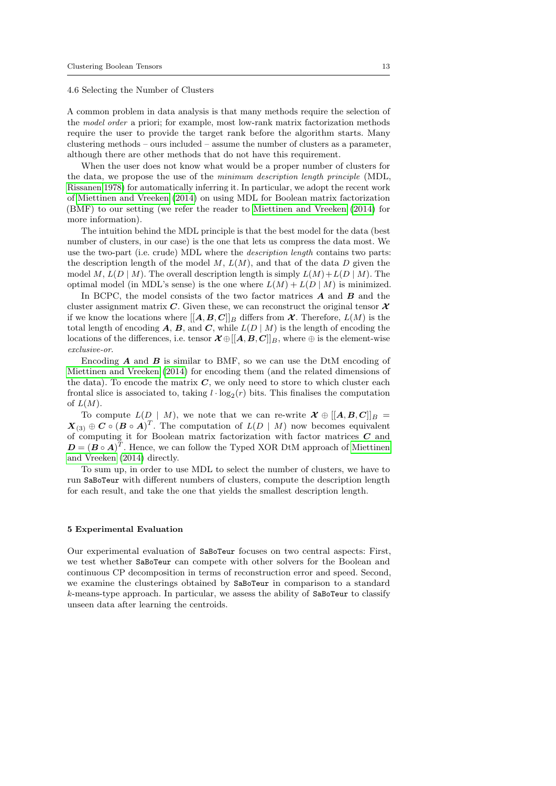<span id="page-12-1"></span>4.6 Selecting the Number of Clusters

A common problem in data analysis is that many methods require the selection of the model order a priori; for example, most low-rank matrix factorization methods require the user to provide the target rank before the algorithm starts. Many clustering methods – ours included – assume the number of clusters as a parameter, although there are other methods that do not have this requirement.

When the user does not know what would be a proper number of clusters for the data, we propose the use of the minimum description length principle (MDL, [Rissanen 1978\)](#page-27-9) for automatically inferring it. In particular, we adopt the recent work of [Miettinen and Vreeken](#page-27-10) [\(2014\)](#page-27-10) on using MDL for Boolean matrix factorization (BMF) to our setting (we refer the reader to [Miettinen and Vreeken](#page-27-10) [\(2014\)](#page-27-10) for more information).

The intuition behind the MDL principle is that the best model for the data (best number of clusters, in our case) is the one that lets us compress the data most. We use the two-part (i.e. crude) MDL where the description length contains two parts: the description length of the model  $M$ ,  $L(M)$ , and that of the data D given the model M,  $L(D | M)$ . The overall description length is simply  $L(M) + L(D | M)$ . The optimal model (in MDL's sense) is the one where  $L(M) + L(D | M)$  is minimized.

In BCPC, the model consists of the two factor matrices  $\boldsymbol{A}$  and  $\boldsymbol{B}$  and the cluster assignment matrix C. Given these, we can reconstruct the original tensor  $\mathcal X$ if we know the locations where  $[[A, B, C]]_B$  differs from  $\mathcal{X}$ . Therefore,  $L(M)$  is the total length of encoding  $A, B$ , and  $C$ , while  $L(D | M)$  is the length of encoding the locations of the differences, i.e. tensor  $\mathcal{X} \oplus [[A, B, C]]_B$ , where  $\oplus$  is the element-wise exclusive-or.

Encoding  $A$  and  $B$  is similar to BMF, so we can use the DtM encoding of [Miettinen and Vreeken](#page-27-10) [\(2014\)](#page-27-10) for encoding them (and the related dimensions of the data). To encode the matrix  $C$ , we only need to store to which cluster each frontal slice is associated to, taking  $l \cdot \log_2(r)$  bits. This finalises the computation of  $L(M)$ .

To compute  $L(D \mid M)$ , we note that we can re-write  $\mathcal{X} \oplus [[A, B, C]]_B =$  $\mathbf{X}_{(3)} \oplus \mathbf{C} \circ (\mathbf{B} \circ \mathbf{A})^T$ . The computation of  $L(D \mid M)$  now becomes equivalent of computing it for Boolean matrix factorization with factor matrices C and  $\mathbf{D} = (\mathbf{B} \circ \mathbf{A})^T$ . Hence, we can follow the Typed XOR DtM approach of [Miettinen](#page-27-10) [and Vreeken](#page-27-10) [\(2014\)](#page-27-10) directly.

To sum up, in order to use MDL to select the number of clusters, we have to run SaBoTeur with different numbers of clusters, compute the description length for each result, and take the one that yields the smallest description length.

#### <span id="page-12-0"></span>5 Experimental Evaluation

Our experimental evaluation of SaBoTeur focuses on two central aspects: First, we test whether SaBoTeur can compete with other solvers for the Boolean and continuous CP decomposition in terms of reconstruction error and speed. Second, we examine the clusterings obtained by SaBoTeur in comparison to a standard  $k$ -means-type approach. In particular, we assess the ability of SaBoTeur to classify unseen data after learning the centroids.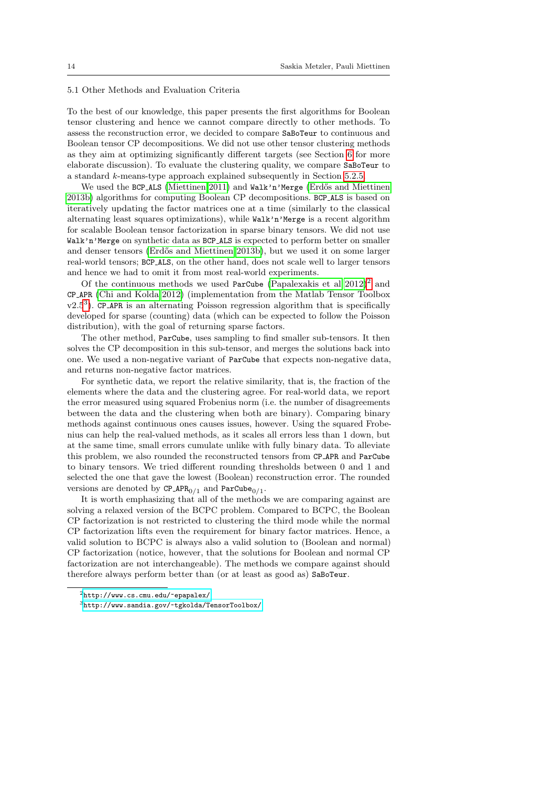### 5.1 Other Methods and Evaluation Criteria

To the best of our knowledge, this paper presents the first algorithms for Boolean tensor clustering and hence we cannot compare directly to other methods. To assess the reconstruction error, we decided to compare SaBoTeur to continuous and Boolean tensor CP decompositions. We did not use other tensor clustering methods as they aim at optimizing significantly different targets (see Section [6](#page-24-0) for more elaborate discussion). To evaluate the clustering quality, we compare SaBoTeur to a standard k-means-type approach explained subsequently in Section [5.2.5.](#page-16-0)

We used the BCP ALS [\(Miettinen 2011\)](#page-27-0) and Walk'n'Merge (Erdős and Miettinen [2013b\)](#page-27-1) algorithms for computing Boolean CP decompositions. BCP ALS is based on iteratively updating the factor matrices one at a time (similarly to the classical alternating least squares optimizations), while Walk'n'Merge is a recent algorithm for scalable Boolean tensor factorization in sparse binary tensors. We did not use Walk'n'Merge on synthetic data as BCP ALS is expected to perform better on smaller and denser tensors (Erdős and Miettinen 2013b), but we used it on some larger real-world tensors; BCP ALS, on the other hand, does not scale well to larger tensors and hence we had to omit it from most real-world experiments.

Of the continuous methods we used ParCube (Papalexakis et al  $2012$  $2012$ )<sup>2</sup> and CP APR [\(Chi and Kolda 2012\)](#page-26-4) (implementation from the Matlab Tensor Toolbox  $v2.5<sup>3</sup>$  $v2.5<sup>3</sup>$  $v2.5<sup>3</sup>$ ). CP\_APR is an alternating Poisson regression algorithm that is specifically developed for sparse (counting) data (which can be expected to follow the Poisson distribution), with the goal of returning sparse factors.

The other method, ParCube, uses sampling to find smaller sub-tensors. It then solves the CP decomposition in this sub-tensor, and merges the solutions back into one. We used a non-negative variant of ParCube that expects non-negative data, and returns non-negative factor matrices.

For synthetic data, we report the relative similarity, that is, the fraction of the elements where the data and the clustering agree. For real-world data, we report the error measured using squared Frobenius norm (i.e. the number of disagreements between the data and the clustering when both are binary). Comparing binary methods against continuous ones causes issues, however. Using the squared Frobenius can help the real-valued methods, as it scales all errors less than 1 down, but at the same time, small errors cumulate unlike with fully binary data. To alleviate this problem, we also rounded the reconstructed tensors from CP APR and ParCube to binary tensors. We tried different rounding thresholds between 0 and 1 and selected the one that gave the lowest (Boolean) reconstruction error. The rounded versions are denoted by  $\texttt{CP} \_\texttt{APR}_{0/1}$  and  $\texttt{ParCube}_{0/1}$ .

It is worth emphasizing that all of the methods we are comparing against are solving a relaxed version of the BCPC problem. Compared to BCPC, the Boolean CP factorization is not restricted to clustering the third mode while the normal CP factorization lifts even the requirement for binary factor matrices. Hence, a valid solution to BCPC is always also a valid solution to (Boolean and normal) CP factorization (notice, however, that the solutions for Boolean and normal CP factorization are not interchangeable). The methods we compare against should therefore always perform better than (or at least as good as) SaBoTeur.

<sup>2</sup><http://www.cs.cmu.edu/~epapalex/>

 $3$ <http://www.sandia.gov/~tgkolda/TensorToolbox/>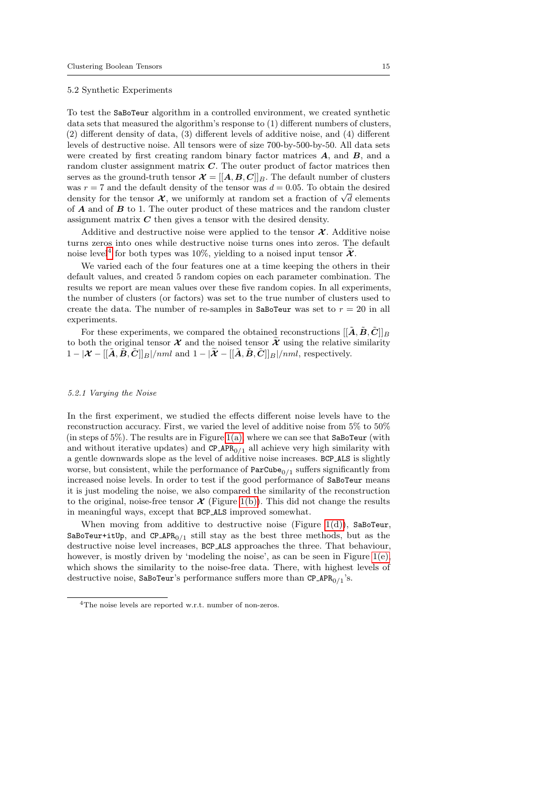#### 5.2 Synthetic Experiments

To test the SaBoTeur algorithm in a controlled environment, we created synthetic data sets that measured the algorithm's response to (1) different numbers of clusters, (2) different density of data, (3) different levels of additive noise, and (4) different levels of destructive noise. All tensors were of size 700-by-500-by-50. All data sets were created by first creating random binary factor matrices  $A$ , and  $B$ , and a random cluster assignment matrix  $C$ . The outer product of factor matrices then serves as the ground-truth tensor  $\mathcal{X} = [[A, B, C]]_B$ . The default number of clusters was  $r = 7$  and the default density of the tensor was  $d = 0.05$ . To obtain the desired was  $r = l$  and the defiault density of the tensor was  $d = 0.05$ . To obtain the desired density for the tensor  $\chi$ , we uniformly at random set a fraction of  $\sqrt{d}$  elements of A and of B to 1. The outer product of these matrices and the random cluster assignment matrix  $C$  then gives a tensor with the desired density.

Additive and destructive noise were applied to the tensor  $\mathcal{X}$ . Additive noise turns zeros into ones while destructive noise turns ones into zeros. The default noise level<sup>[4](#page-0-0)</sup> for both types was 10%, yielding to a noised input tensor  $\widetilde{\mathcal{X}}$ .

We varied each of the four features one at a time keeping the others in their default values, and created 5 random copies on each parameter combination. The results we report are mean values over these five random copies. In all experiments, the number of clusters (or factors) was set to the true number of clusters used to create the data. The number of re-samples in SaBoTeur was set to  $r = 20$  in all experiments.

For these experiments, we compared the obtained reconstructions  $[[\tilde{A}, \tilde{B}, \tilde{C}]]_B$ to both the original tensor  $\mathcal X$  and the noised tensor  $\mathcal X$  using the relative similarity  $1 - |\mathcal{X} - [[\tilde{\mathbf{A}}, \tilde{\mathbf{B}}, \tilde{\mathbf{C}}]]_B|/nml$  and  $1 - |\tilde{\mathbf{X}} - [[\tilde{\mathbf{A}}, \tilde{\mathbf{B}}, \tilde{\mathbf{C}}]]_B|/nml$ , respectively.

## <span id="page-14-0"></span>5.2.1 Varying the Noise

In the first experiment, we studied the effects different noise levels have to the reconstruction accuracy. First, we varied the level of additive noise from 5% to 50% (in steps of  $5\%$ ). The results are in Figure [1\(a\),](#page-15-0) where we can see that SaBoTeur (with and without iterative updates) and  $CP_APR_{0/1}$  all achieve very high similarity with a gentle downwards slope as the level of additive noise increases. BCP ALS is slightly worse, but consistent, while the performance of  $ParCube_{0/1}$  suffers significantly from increased noise levels. In order to test if the good performance of SaBoTeur means it is just modeling the noise, we also compared the similarity of the reconstruction to the original, noise-free tensor  $\mathcal X$  (Figure [1\(b\)\)](#page-15-1). This did not change the results in meaningful ways, except that BCP ALS improved somewhat.

When moving from additive to destructive noise (Figure [1\(d\)\)](#page-15-2), SaBoTeur, SaBoTeur+itUp, and CP\_APR<sub>0/1</sub> still stay as the best three methods, but as the destructive noise level increases, BCP ALS approaches the three. That behaviour, however, is mostly driven by 'modeling the noise', as can be seen in Figure [1\(e\),](#page-15-3) which shows the similarity to the noise-free data. There, with highest levels of destructive noise, SaBoTeur's performance suffers more than  $\texttt{CP} \_\texttt{APR}_0 / _1$ 's.

<sup>&</sup>lt;sup>4</sup>The noise levels are reported w.r.t. number of non-zeros.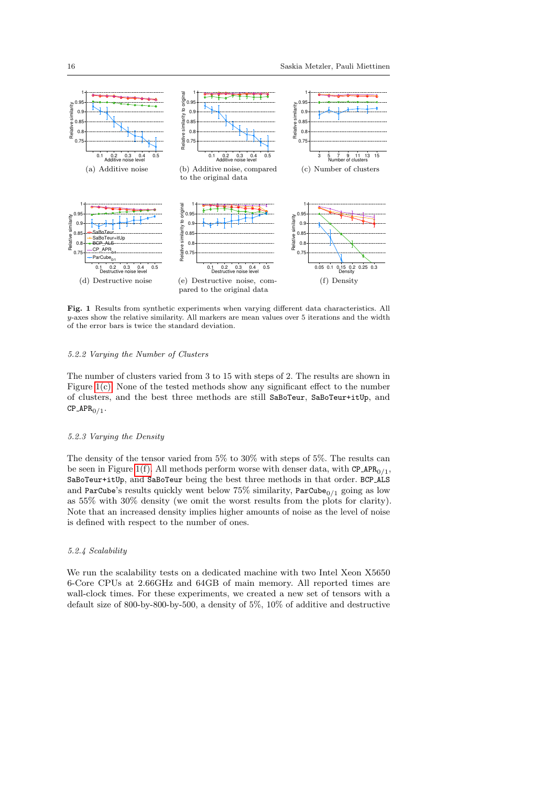<span id="page-15-4"></span><span id="page-15-1"></span><span id="page-15-0"></span>

<span id="page-15-5"></span><span id="page-15-3"></span><span id="page-15-2"></span>Fig. 1 Results from synthetic experiments when varying different data characteristics. All y-axes show the relative similarity. All markers are mean values over 5 iterations and the width of the error bars is twice the standard deviation.

### 5.2.2 Varying the Number of Clusters

The number of clusters varied from 3 to 15 with steps of 2. The results are shown in Figure [1\(c\).](#page-15-4) None of the tested methods show any significant effect to the number of clusters, and the best three methods are still SaBoTeur, SaBoTeur+itUp, and  $\text{CP}$ <sub>-APR<sub>0/1</sub>.</sub>

#### <span id="page-15-6"></span>5.2.3 Varying the Density

The density of the tensor varied from 5% to 30% with steps of 5%. The results can be seen in Figure [1\(f\).](#page-15-5) All methods perform worse with denser data, with  $CP\_APR_{0/1}$ , SaBoTeur+itUp, and SaBoTeur being the best three methods in that order. BCP ALS and ParCube's results quickly went below 75% similarity,  $ParCube_{0/1}$  going as low as 55% with 30% density (we omit the worst results from the plots for clarity). Note that an increased density implies higher amounts of noise as the level of noise is defined with respect to the number of ones.

### <span id="page-15-7"></span>5.2.4 Scalability

We run the scalability tests on a dedicated machine with two Intel Xeon X5650 6-Core CPUs at 2.66GHz and 64GB of main memory. All reported times are wall-clock times. For these experiments, we created a new set of tensors with a default size of 800-by-800-by-500, a density of 5%, 10% of additive and destructive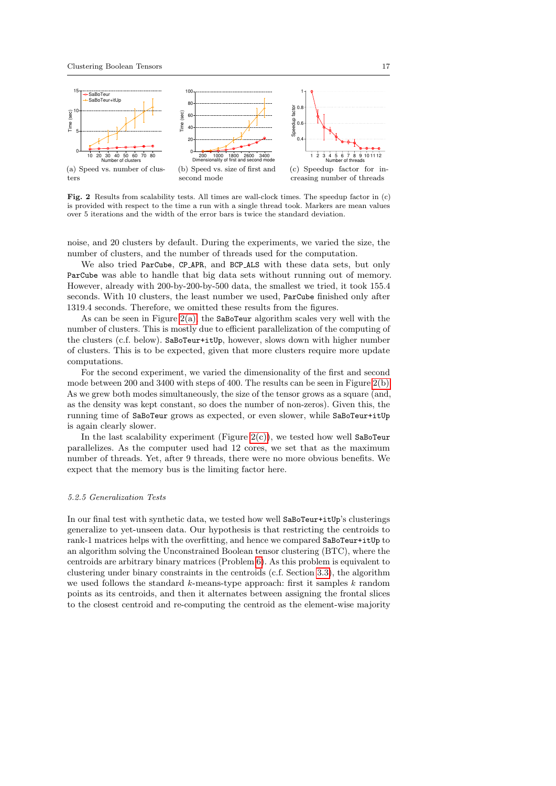<span id="page-16-1"></span>

<span id="page-16-3"></span><span id="page-16-2"></span>Fig. 2 Results from scalability tests. All times are wall-clock times. The speedup factor in (c) is provided with respect to the time a run with a single thread took. Markers are mean values over 5 iterations and the width of the error bars is twice the standard deviation.

noise, and 20 clusters by default. During the experiments, we varied the size, the number of clusters, and the number of threads used for the computation.

We also tried ParCube, CP\_APR, and BCP\_ALS with these data sets, but only ParCube was able to handle that big data sets without running out of memory. However, already with 200-by-200-by-500 data, the smallest we tried, it took 155.4 seconds. With 10 clusters, the least number we used, ParCube finished only after 1319.4 seconds. Therefore, we omitted these results from the figures.

As can be seen in Figure  $2(a)$ , the SaBoTeur algorithm scales very well with the number of clusters. This is mostly due to efficient parallelization of the computing of the clusters (c.f. below). SaBoTeur+itUp, however, slows down with higher number of clusters. This is to be expected, given that more clusters require more update computations.

For the second experiment, we varied the dimensionality of the first and second mode between 200 and 3400 with steps of 400. The results can be seen in Figure [2\(b\).](#page-16-2) As we grew both modes simultaneously, the size of the tensor grows as a square (and, as the density was kept constant, so does the number of non-zeros). Given this, the running time of SaBoTeur grows as expected, or even slower, while SaBoTeur+itUp is again clearly slower.

In the last scalability experiment (Figure  $2(c)$ ), we tested how well SaBoTeur parallelizes. As the computer used had 12 cores, we set that as the maximum number of threads. Yet, after 9 threads, there were no more obvious benefits. We expect that the memory bus is the limiting factor here.

# <span id="page-16-0"></span>5.2.5 Generalization Tests

In our final test with synthetic data, we tested how well SaBoTeur+itUp's clusterings generalize to yet-unseen data. Our hypothesis is that restricting the centroids to rank-1 matrices helps with the overfitting, and hence we compared SaBoTeur+itUp to an algorithm solving the Unconstrained Boolean tensor clustering (BTC), where the centroids are arbitrary binary matrices (Problem [6\)](#page-5-3). As this problem is equivalent to clustering under binary constraints in the centroids (c.f. Section [3.3\)](#page-5-0), the algorithm we used follows the standard  $k$ -means-type approach: first it samples  $k$  random points as its centroids, and then it alternates between assigning the frontal slices to the closest centroid and re-computing the centroid as the element-wise majority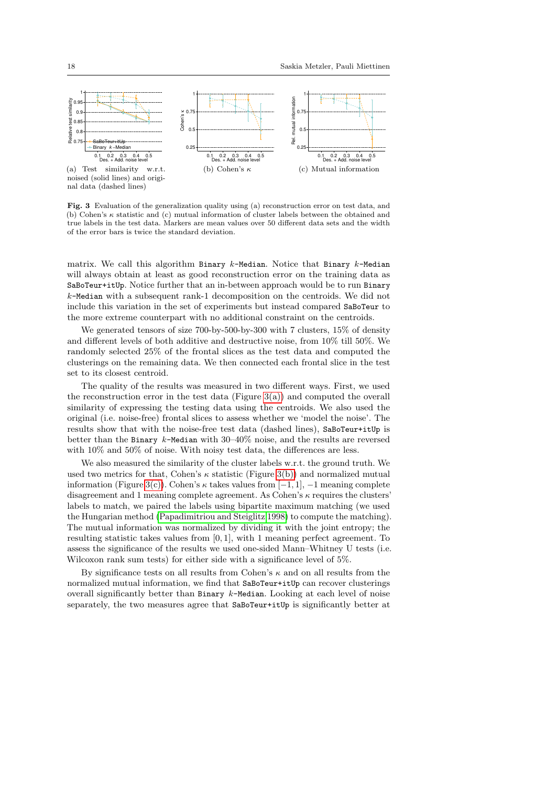<span id="page-17-0"></span>

<span id="page-17-2"></span><span id="page-17-1"></span>Fig. 3 Evaluation of the generalization quality using (a) reconstruction error on test data, and (b) Cohen's  $\kappa$  statistic and (c) mutual information of cluster labels between the obtained and true labels in the test data. Markers are mean values over 50 different data sets and the width of the error bars is twice the standard deviation.

matrix. We call this algorithm Binary  $k$ -Median. Notice that Binary  $k$ -Median will always obtain at least as good reconstruction error on the training data as SaBoTeur+itUp. Notice further that an in-between approach would be to run Binary  $k$ -Median with a subsequent rank-1 decomposition on the centroids. We did not include this variation in the set of experiments but instead compared SaBoTeur to the more extreme counterpart with no additional constraint on the centroids.

We generated tensors of size 700-by-500-by-300 with 7 clusters, 15% of density and different levels of both additive and destructive noise, from 10% till 50%. We randomly selected 25% of the frontal slices as the test data and computed the clusterings on the remaining data. We then connected each frontal slice in the test set to its closest centroid.

The quality of the results was measured in two different ways. First, we used the reconstruction error in the test data (Figure  $3(a)$ ) and computed the overall similarity of expressing the testing data using the centroids. We also used the original (i.e. noise-free) frontal slices to assess whether we 'model the noise'. The results show that with the noise-free test data (dashed lines), SaBoTeur+itUp is better than the Binary k-Median with  $30-40\%$  noise, and the results are reversed with  $10\%$  and  $50\%$  of noise. With noisy test data, the differences are less.

We also measured the similarity of the cluster labels w.r.t. the ground truth. We used two metrics for that, Cohen's  $\kappa$  statistic (Figure [3\(b\)\)](#page-17-1) and normalized mutual information (Figure [3\(c\)\)](#page-17-2). Cohen's  $\kappa$  takes values from [−1, 1], −1 meaning complete disagreement and 1 meaning complete agreement. As Cohen's  $\kappa$  requires the clusters' labels to match, we paired the labels using bipartite maximum matching (we used the Hungarian method [\(Papadimitriou and Steiglitz 1998\)](#page-27-12) to compute the matching). The mutual information was normalized by dividing it with the joint entropy; the resulting statistic takes values from [0, 1], with 1 meaning perfect agreement. To assess the significance of the results we used one-sided Mann–Whitney U tests (i.e. Wilcoxon rank sum tests) for either side with a significance level of 5%.

By significance tests on all results from Cohen's  $\kappa$  and on all results from the normalized mutual information, we find that SaBoTeur+itUp can recover clusterings overall significantly better than Binary  $k$ -Median. Looking at each level of noise separately, the two measures agree that SaBoTeur+itUp is significantly better at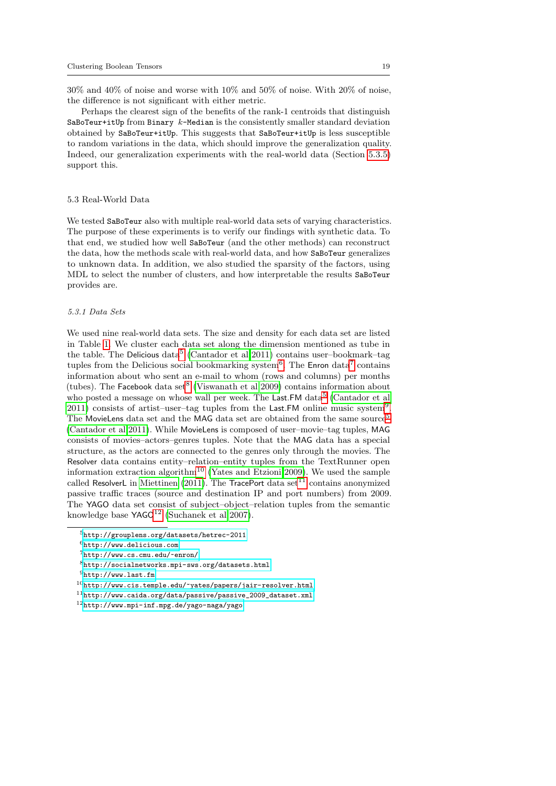30% and 40% of noise and worse with 10% and 50% of noise. With 20% of noise, the difference is not significant with either metric.

Perhaps the clearest sign of the benefits of the rank-1 centroids that distinguish SaBoTeur+itUp from Binary  $k$ -Median is the consistently smaller standard deviation obtained by SaBoTeur+itUp. This suggests that SaBoTeur+itUp is less susceptible to random variations in the data, which should improve the generalization quality. Indeed, our generalization experiments with the real-world data (Section [5.3.5\)](#page-21-0) support this.

### 5.3 Real-World Data

We tested SaBoTeur also with multiple real-world data sets of varying characteristics. The purpose of these experiments is to verify our findings with synthetic data. To that end, we studied how well SaBoTeur (and the other methods) can reconstruct the data, how the methods scale with real-world data, and how SaBoTeur generalizes to unknown data. In addition, we also studied the sparsity of the factors, using MDL to select the number of clusters, and how interpretable the results SaBoTeur provides are.

### <span id="page-18-0"></span>5.3.1 Data Sets

We used nine real-world data sets. The size and density for each data set are listed in Table [1.](#page-19-0) We cluster each data set along the dimension mentioned as tube in the table. The Delicious data<sup>[5](#page-0-0)</sup> [\(Cantador et al 2011\)](#page-26-5) contains user-bookmark-tag tuples from the Delicious social bookmarking system<sup>[6](#page-0-0)</sup>. The Enron data<sup>[7](#page-0-0)</sup> contains information about who sent an e-mail to whom (rows and columns) per months (tubes). The Facebook data set<sup>[8](#page-0-0)</sup> [\(Viswanath et al 2009\)](#page-28-1) contains information about who posted a message on whose wall per week. The Last.FM data<sup>[5](#page-0-0)</sup> [\(Cantador et al](#page-26-5) [2011\)](#page-26-5) consists of artist–user–tag tuples from the Last. FM online music system<sup>[9](#page-0-0)</sup>. The MovieLens data set and the MAG data set are obtained from the same source<sup>[5](#page-0-0)</sup> [\(Cantador et al 2011\)](#page-26-5). While MovieLens is composed of user–movie–tag tuples, MAG consists of movies–actors–genres tuples. Note that the MAG data has a special structure, as the actors are connected to the genres only through the movies. The Resolver data contains entity–relation–entity tuples from the TextRunner open information extraction algorithm<sup>[10](#page-0-0)</sup> [\(Yates and Etzioni 2009\)](#page-28-2). We used the sample called ResolverL in [Miettinen](#page-27-0) [\(2011\)](#page-27-0). The TracePort data set<sup>[11](#page-0-0)</sup> contains anonymized passive traffic traces (source and destination IP and port numbers) from 2009. The YAGO data set consist of subject–object–relation tuples from the semantic knowledge base  $YAGO<sup>12</sup>$  $YAGO<sup>12</sup>$  $YAGO<sup>12</sup>$  [\(Suchanek et al 2007\)](#page-27-13).

<sup>5</sup><http://grouplens.org/datasets/hetrec-2011>

 $6$ <http://www.delicious.com>

<sup>7</sup><http://www.cs.cmu.edu/~enron/>

 ${}^{8}\texttt{http://socialnetworks.mpi-sws.org/datasets.html}$  ${}^{8}\texttt{http://socialnetworks.mpi-sws.org/datasets.html}$  ${}^{8}\texttt{http://socialnetworks.mpi-sws.org/datasets.html}$ 

 $^9$  <br><http://www.last.fm>

 $10$ <http://www.cis.temple.edu/~yates/papers/jair-resolver.html>

 $11$ [http://www.caida.org/data/passive/passive\\_2009\\_dataset.xml](http://www.caida.org/data/passive/passive_2009_dataset.xml)

<sup>12</sup><http://www.mpi-inf.mpg.de/yago-naga/yago>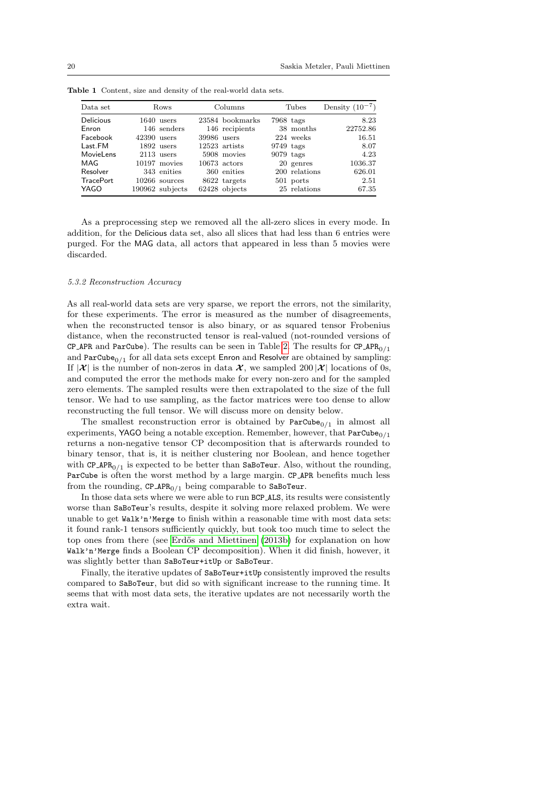| Data set         |               | Rows            | Columns     |                 |             | Tubes         | Density $(10^{-7})$ |
|------------------|---------------|-----------------|-------------|-----------------|-------------|---------------|---------------------|
| <b>Delicious</b> |               | $1640$ users    |             | 23584 bookmarks | $7968$ tags |               | 8.23                |
| Enron            |               | 146 senders     |             | 146 recipients  |             | 38 months     | 22752.86            |
| Facebook         | $42390$ users |                 | 39986 users |                 |             | 224 weeks     | 16.51               |
| Last.FM          |               | $1892$ users    |             | 12523 artists   | $9749$ tags |               | 8.07                |
| <b>MovieLens</b> |               | $2113$ users    |             | 5908 movies     | $9079$ tags |               | 4.23                |
| MAG              |               | 10197 movies    |             | $10673$ actors  |             | 20 genres     | 1036.37             |
| Resolver         |               | 343 enities     |             | 360 enities     |             | 200 relations | 626.01              |
| <b>TracePort</b> |               | $10266$ sources |             | 8622 targets    |             | 501 ports     | 2.51                |
| YAGO             |               | 190962 subjects |             | 62428 objects   |             | 25 relations  | 67.35               |

<span id="page-19-0"></span>Table 1 Content, size and density of the real-world data sets.

As a preprocessing step we removed all the all-zero slices in every mode. In addition, for the Delicious data set, also all slices that had less than 6 entries were purged. For the MAG data, all actors that appeared in less than 5 movies were discarded.

#### <span id="page-19-1"></span>5.3.2 Reconstruction Accuracy

As all real-world data sets are very sparse, we report the errors, not the similarity, for these experiments. The error is measured as the number of disagreements, when the reconstructed tensor is also binary, or as squared tensor Frobenius distance, when the reconstructed tensor is real-valued (not-rounded versions of CP APR and ParCube). The results can be seen in Table [2.](#page-20-0) The results for CP APR<sub>0/1</sub> and  $\text{ParCube}_{0/1}$  for all data sets except Enron and Resolver are obtained by sampling: If  $|\mathcal{X}|$  is the number of non-zeros in data  $\mathcal{X}$ , we sampled 200  $|\mathcal{X}|$  locations of 0s, and computed the error the methods make for every non-zero and for the sampled zero elements. The sampled results were then extrapolated to the size of the full tensor. We had to use sampling, as the factor matrices were too dense to allow reconstructing the full tensor. We will discuss more on density below.

The smallest reconstruction error is obtained by  $ParCube_{0/1}$  in almost all experiments, YAGO being a notable exception. Remember, however, that  $ParCube_{0/1}$ returns a non-negative tensor CP decomposition that is afterwards rounded to binary tensor, that is, it is neither clustering nor Boolean, and hence together with CP\_APR<sub>0/1</sub> is expected to be better than SaBoTeur. Also, without the rounding, ParCube is often the worst method by a large margin. CP APR benefits much less from the rounding,  $CP_$ APR<sub>0/1</sub> being comparable to SaBoTeur.

In those data sets where we were able to run BCP ALS, its results were consistently worse than SaBoTeur's results, despite it solving more relaxed problem. We were unable to get  $\text{Walk'}$ n'Merge to finish within a reasonable time with most data sets: it found rank-1 tensors sufficiently quickly, but took too much time to select the top ones from there (see Erdős and Miettinen [\(2013b\)](#page-27-1) for explanation on how Walk'n'Merge finds a Boolean CP decomposition). When it did finish, however, it was slightly better than SaBoTeur+itUp or SaBoTeur.

Finally, the iterative updates of SaBoTeur+itUp consistently improved the results compared to SaBoTeur, but did so with significant increase to the running time. It seems that with most data sets, the iterative updates are not necessarily worth the extra wait.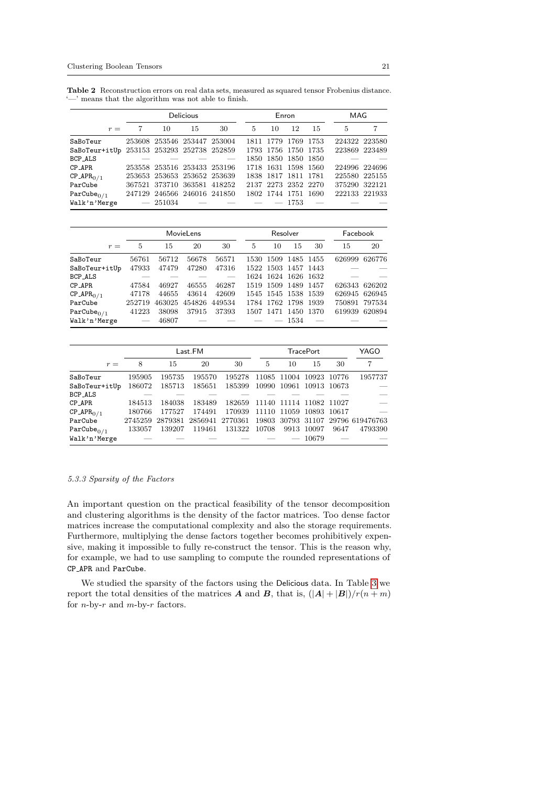<span id="page-20-0"></span>Table 2 Reconstruction errors on real data sets, measured as squared tensor Frobenius distance. '—' means that the algorithm was not able to finish.

|                                           | <b>Delicious</b> |                             |    |                                   | Enron |                     |      |                     |               | MAG |  |
|-------------------------------------------|------------------|-----------------------------|----|-----------------------------------|-------|---------------------|------|---------------------|---------------|-----|--|
| $r =$                                     | 7                | 10                          | 15 | 30                                | 5     | 10                  | 12   | -15                 | 5             | 7   |  |
| SaBoTeur                                  |                  | 253608 253546 253447 253004 |    |                                   |       | 1811 1779 1769 1753 |      |                     | 224322 223580 |     |  |
| SaBoTeur+itUp 253153 253293 252738 252859 |                  |                             |    |                                   |       |                     |      | 1793 1756 1750 1735 | 223869 223489 |     |  |
| BCP_ALS                                   |                  |                             |    |                                   |       | 1850 1850 1850 1850 |      |                     |               |     |  |
| $CP$ $APR$                                |                  | 253558 253516 253433 253196 |    |                                   |       | 1718 1631 1598 1560 |      |                     | 224996 224696 |     |  |
| $CP_APR_{0/1}$                            |                  |                             |    | 253653 253653 253652 253639       |       | 1838 1817 1811 1781 |      |                     | 225580 225155 |     |  |
| ParCube                                   |                  |                             |    | 367521 373710 363581 418252       |       | 2137 2273 2352 2270 |      |                     | 375290 322121 |     |  |
| $ParCube_{0/1}$                           |                  |                             |    | 247129 246566 246016 241850       |       | 1802 1744 1751 1690 |      |                     | 222133 221933 |     |  |
| Walk'n'Merge                              |                  | $-251034$                   |    | and the company of the company of |       |                     | 1753 |                     |               |     |  |

|                                    |        | MovieLens |       |               | Resolver |    |                     |    | Facebook      |        |
|------------------------------------|--------|-----------|-------|---------------|----------|----|---------------------|----|---------------|--------|
| $r =$                              | 5      | 15        | 20    | 30            | 5        | 10 | 15                  | 30 | 15            | 20     |
| SaBoTeur                           | 56761  | 56712     | 56678 | 56571         |          |    | 1530 1509 1485 1455 |    | 626999        | 626776 |
| SaBoTeur+itUp                      | 47933  | 47479     | 47280 | 47316         |          |    | 1522 1503 1457 1443 |    |               |        |
| BCP_ALS                            |        |           |       |               |          |    | 1624 1624 1626 1632 |    |               |        |
| CP_APR                             | 47584  | 46927     | 46555 | 46287         |          |    | 1519 1509 1489 1457 |    | 626343 626202 |        |
| $CP$ <sub>-APR<sub>0/1</sub></sub> | 47178  | 44655     | 43614 | 42609         |          |    | 1545 1545 1538 1539 |    | 626945 626945 |        |
| ParCube                            | 252719 | 463025    |       | 454826 449534 |          |    | 1784 1762 1798 1939 |    | 750891 797534 |        |
| $ParCube_{0/1}$                    | 41223  | 38098     | 37915 | 37393         |          |    | 1507 1471 1450 1370 |    | 619939 620894 |        |
| Walk'n'Merge                       |        | 46807     |       |               |          |    | 1534                |    |               |        |

|                         |         | Last.FM |                 |        |       | <b>TracePort</b> |                         |      |                                           |
|-------------------------|---------|---------|-----------------|--------|-------|------------------|-------------------------|------|-------------------------------------------|
| $r =$                   | 8       | 15      | 20              | 30     | 5     | 10               | 15                      | 30   | 7                                         |
| SaBoTeur                | 195905  | 195735  | 195570          | 195278 |       |                  | 11085 11004 10923 10776 |      | 1957737                                   |
| SaBoTeur+itUp           | 186072  | 185713  | 185651          | 185399 |       |                  | 10990 10961 10913 10673 |      |                                           |
| BCP_ALS                 |         |         |                 |        |       |                  |                         |      |                                           |
| CP_APR                  | 184513  | 184038  | 183489          | 182659 |       |                  | 11140 11114 11082 11027 |      |                                           |
| $CP_APR_{0/1}$          | 180766  | 177527  | 174491          | 170939 |       |                  | 11110 11059 10893 10617 |      |                                           |
| ParCube                 | 2745259 |         | 2879381 2856941 |        |       |                  |                         |      | 2770361 19803 30793 31107 29796 619476763 |
| Par $\text{Cube}_{0/1}$ | 133057  | 139207  | 119461          | 131322 | 10708 |                  | 9913 10097              | 9647 | 4793390                                   |
| Walk'n'Merge            |         |         |                 |        |       |                  | 10679                   |      |                                           |

### 5.3.3 Sparsity of the Factors

An important question on the practical feasibility of the tensor decomposition and clustering algorithms is the density of the factor matrices. Too dense factor matrices increase the computational complexity and also the storage requirements. Furthermore, multiplying the dense factors together becomes prohibitively expensive, making it impossible to fully re-construct the tensor. This is the reason why, for example, we had to use sampling to compute the rounded representations of CP APR and ParCube.

We studied the sparsity of the factors using the Delicious data. In Table [3](#page-21-1) we report the total densities of the matrices A and B, that is,  $(|A|+|B|)/r(n+m)$ for *n*-by- $r$  and *m*-by- $r$  factors.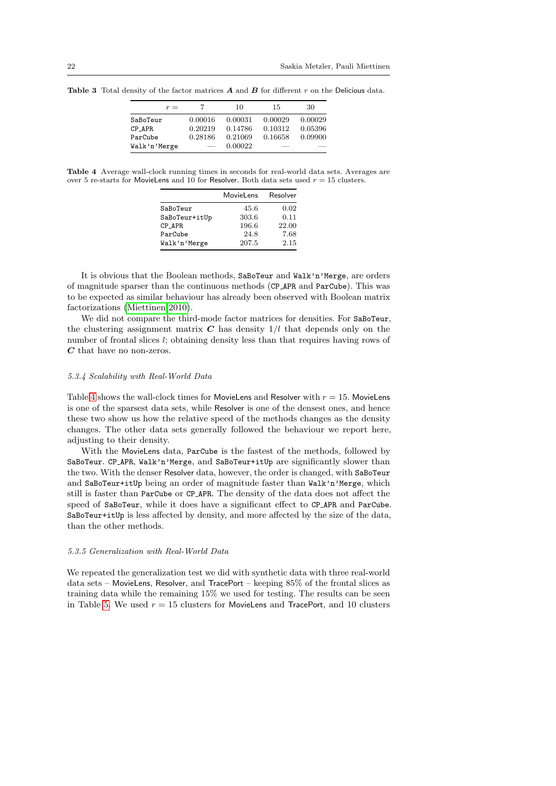| $r =$        |         | 10      | 15      | 30      |
|--------------|---------|---------|---------|---------|
| SaBoTeur     | 0.00016 | 0.00031 | 0.00029 | 0.00029 |
| CP APR       | 0.20219 | 0.14786 | 0.10312 | 0.05396 |
| ParCube      | 0.28186 | 0.21069 | 0.16658 | 0.09900 |
| Walk'n'Merge |         | 0.00022 |         |         |

<span id="page-21-1"></span>Table 3 Total density of the factor matrices  $A$  and  $B$  for different  $r$  on the Delicious data.

<span id="page-21-2"></span>Table 4 Average wall-clock running times in seconds for real-world data sets. Averages are over 5 re-starts for MovieLens and 10 for Resolver. Both data sets used  $r = 15$  clusters.

|               | MovieLens | Resolver |
|---------------|-----------|----------|
| SaBoTeur      | 45.6      | 0.02     |
| SaBoTeur+itUp | 303.6     | 0.11     |
| CP APR        | 196.6     | 22.00    |
| ParCube       | 24.8      | 7.68     |
| Walk'n'Merge  | 207.5     | 2.15     |

It is obvious that the Boolean methods, SaBoTeur and Walk'n'Merge, are orders of magnitude sparser than the continuous methods (CP APR and ParCube). This was to be expected as similar behaviour has already been observed with Boolean matrix factorizations [\(Miettinen 2010\)](#page-27-14).

We did not compare the third-mode factor matrices for densities. For SaBoTeur, the clustering assignment matrix  $C$  has density  $1/l$  that depends only on the number of frontal slices l; obtaining density less than that requires having rows of C that have no non-zeros.

#### <span id="page-21-3"></span>5.3.4 Scalability with Real-World Data

Table [4](#page-21-2) shows the wall-clock times for MovieLens and Resolver with  $r = 15$ . MovieLens is one of the sparsest data sets, while Resolver is one of the densest ones, and hence these two show us how the relative speed of the methods changes as the density changes. The other data sets generally followed the behaviour we report here, adjusting to their density.

With the MovieLens data, ParCube is the fastest of the methods, followed by SaBoTeur. CP\_APR, Walk'n'Merge, and SaBoTeur+itUp are significantly slower than the two. With the denser Resolver data, however, the order is changed, with SaBoTeur and SaBoTeur+itUp being an order of magnitude faster than Walk'n'Merge, which still is faster than ParCube or CP APR. The density of the data does not affect the speed of SaBoTeur, while it does have a significant effect to CP APR and ParCube. SaBoTeur+itUp is less affected by density, and more affected by the size of the data, than the other methods.

### <span id="page-21-0"></span>5.3.5 Generalization with Real-World Data

We repeated the generalization test we did with synthetic data with three real-world data sets – MovieLens, Resolver, and TracePort – keeping 85% of the frontal slices as training data while the remaining 15% we used for testing. The results can be seen in Table [5.](#page-22-0) We used  $r = 15$  clusters for MovieLens and TracePort, and 10 clusters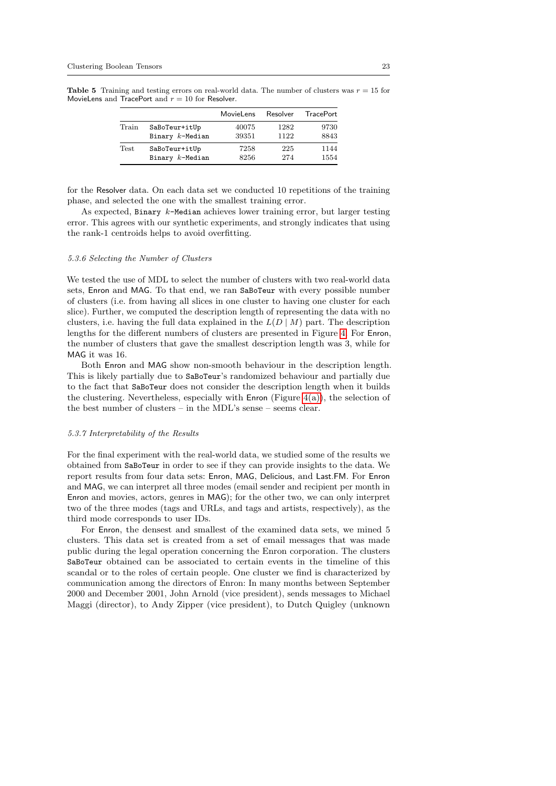<span id="page-22-0"></span>**Table 5** Training and testing errors on real-world data. The number of clusters was  $r = 15$  for MovieLens and TracePort and  $r = 10$  for Resolver.

|             |                    | MovieLens | Resolver | <b>TracePort</b> |
|-------------|--------------------|-----------|----------|------------------|
| Train       | SaBoTeur+itUp      | 40075     | 1282     | 9730             |
|             | Binary $k$ -Median | 39351     | 1122     | 8843             |
| <b>Test</b> | SaBoTeur+itUp      | 7258      | 225      | 1144             |
|             | Binary $k$ -Median | 8256      | 274      | 1554             |

for the Resolver data. On each data set we conducted 10 repetitions of the training phase, and selected the one with the smallest training error.

As expected, Binary  $k$ -Median achieves lower training error, but larger testing error. This agrees with our synthetic experiments, and strongly indicates that using the rank-1 centroids helps to avoid overfitting.

#### 5.3.6 Selecting the Number of Clusters

We tested the use of MDL to select the number of clusters with two real-world data sets, Enron and MAG. To that end, we ran SaBoTeur with every possible number of clusters (i.e. from having all slices in one cluster to having one cluster for each slice). Further, we computed the description length of representing the data with no clusters, i.e. having the full data explained in the  $L(D | M)$  part. The description lengths for the different numbers of clusters are presented in Figure [4.](#page-23-0) For Enron, the number of clusters that gave the smallest description length was 3, while for MAG it was 16.

Both Enron and MAG show non-smooth behaviour in the description length. This is likely partially due to SaBoTeur's randomized behaviour and partially due to the fact that SaBoTeur does not consider the description length when it builds the clustering. Nevertheless, especially with  $\mathsf{Enron}$  (Figure [4\(a\)\)](#page-23-1), the selection of the best number of clusters – in the MDL's sense – seems clear.

### 5.3.7 Interpretability of the Results

For the final experiment with the real-world data, we studied some of the results we obtained from SaBoTeur in order to see if they can provide insights to the data. We report results from four data sets: Enron, MAG, Delicious, and Last.FM. For Enron and MAG, we can interpret all three modes (email sender and recipient per month in Enron and movies, actors, genres in MAG); for the other two, we can only interpret two of the three modes (tags and URLs, and tags and artists, respectively), as the third mode corresponds to user IDs.

For Enron, the densest and smallest of the examined data sets, we mined 5 clusters. This data set is created from a set of email messages that was made public during the legal operation concerning the Enron corporation. The clusters SaBoTeur obtained can be associated to certain events in the timeline of this scandal or to the roles of certain people. One cluster we find is characterized by communication among the directors of Enron: In many months between September 2000 and December 2001, John Arnold (vice president), sends messages to Michael Maggi (director), to Andy Zipper (vice president), to Dutch Quigley (unknown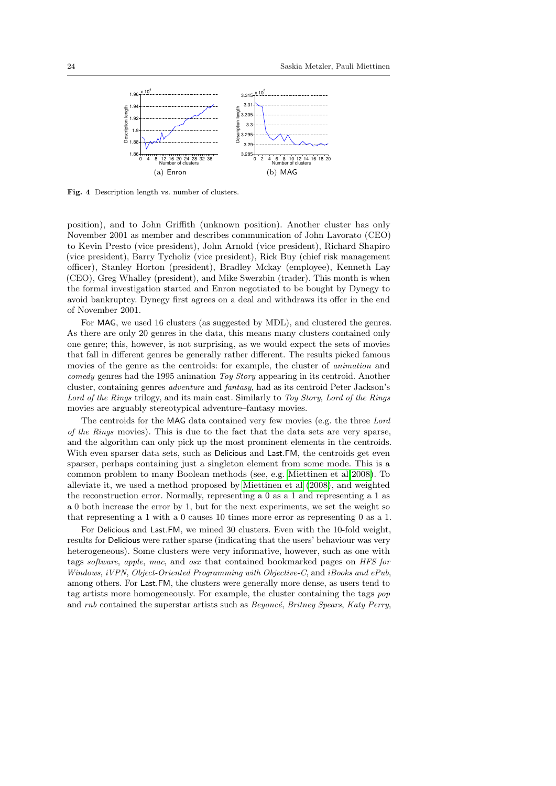<span id="page-23-1"></span><span id="page-23-0"></span>

Fig. 4 Description length vs. number of clusters.

position), and to John Griffith (unknown position). Another cluster has only November 2001 as member and describes communication of John Lavorato (CEO) to Kevin Presto (vice president), John Arnold (vice president), Richard Shapiro (vice president), Barry Tycholiz (vice president), Rick Buy (chief risk management officer), Stanley Horton (president), Bradley Mckay (employee), Kenneth Lay (CEO), Greg Whalley (president), and Mike Swerzbin (trader). This month is when the formal investigation started and Enron negotiated to be bought by Dynegy to avoid bankruptcy. Dynegy first agrees on a deal and withdraws its offer in the end of November 2001.

For MAG, we used 16 clusters (as suggested by MDL), and clustered the genres. As there are only 20 genres in the data, this means many clusters contained only one genre; this, however, is not surprising, as we would expect the sets of movies that fall in different genres be generally rather different. The results picked famous movies of the genre as the centroids: for example, the cluster of animation and comedy genres had the 1995 animation Toy Story appearing in its centroid. Another cluster, containing genres adventure and fantasy, had as its centroid Peter Jackson's Lord of the Rings trilogy, and its main cast. Similarly to Toy Story, Lord of the Rings movies are arguably stereotypical adventure–fantasy movies.

The centroids for the MAG data contained very few movies (e.g. the three Lord of the Rings movies). This is due to the fact that the data sets are very sparse, and the algorithm can only pick up the most prominent elements in the centroids. With even sparser data sets, such as Delicious and Last.FM, the centroids get even sparser, perhaps containing just a singleton element from some mode. This is a common problem to many Boolean methods (see, e.g. [Miettinen et al 2008\)](#page-27-5). To alleviate it, we used a method proposed by [Miettinen et al](#page-27-5) [\(2008\)](#page-27-5), and weighted the reconstruction error. Normally, representing a 0 as a 1 and representing a 1 as a 0 both increase the error by 1, but for the next experiments, we set the weight so that representing a 1 with a 0 causes 10 times more error as representing 0 as a 1.

For Delicious and Last.FM, we mined 30 clusters. Even with the 10-fold weight, results for Delicious were rather sparse (indicating that the users' behaviour was very heterogeneous). Some clusters were very informative, however, such as one with tags software, apple, mac, and osx that contained bookmarked pages on HFS for Windows, *iVPN*, *Object-Oriented Programming with Objective-C*, and *iBooks and ePub*, among others. For Last.FM, the clusters were generally more dense, as users tend to tag artists more homogeneously. For example, the cluster containing the tags pop and  $rnb$  contained the superstar artists such as  $Beyond$ , Britney Spears, Katy Perry,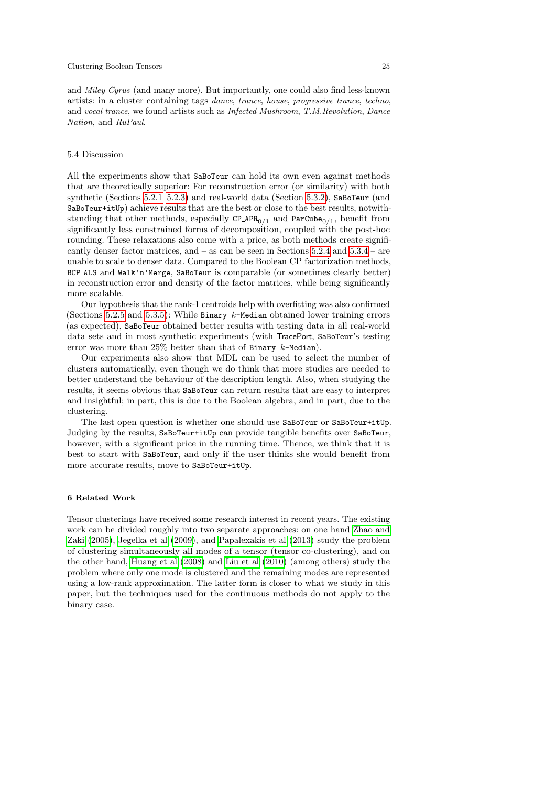and Miley Cyrus (and many more). But importantly, one could also find less-known artists: in a cluster containing tags dance, trance, house, progressive trance, techno, and vocal trance, we found artists such as Infected Mushroom, T.M.Revolution, Dance Nation, and RuPaul.

#### 5.4 Discussion

All the experiments show that SaBoTeur can hold its own even against methods that are theoretically superior: For reconstruction error (or similarity) with both synthetic (Sections [5.2.1–](#page-14-0)[5.2.3\)](#page-15-6) and real-world data (Section [5.3.2\)](#page-19-1), SaBoTeur (and SaBoTeur+itUp) achieve results that are the best or close to the best results, notwithstanding that other methods, especially CP\_APR<sub>0/1</sub> and ParCube<sub>0/1</sub>, benefit from significantly less constrained forms of decomposition, coupled with the post-hoc rounding. These relaxations also come with a price, as both methods create significantly denser factor matrices, and – as can be seen in Sections [5.2.4](#page-15-7) and [5.3.4](#page-21-3) – are unable to scale to denser data. Compared to the Boolean CP factorization methods, BCP ALS and Walk'n'Merge, SaBoTeur is comparable (or sometimes clearly better) in reconstruction error and density of the factor matrices, while being significantly more scalable.

Our hypothesis that the rank-1 centroids help with overfitting was also confirmed (Sections [5.2.5](#page-16-0) and [5.3.5\)](#page-21-0): While Binary  $k$ -Median obtained lower training errors (as expected), SaBoTeur obtained better results with testing data in all real-world data sets and in most synthetic experiments (with TracePort, SaBoTeur's testing error was more than  $25\%$  better than that of Binary  $k$ -Median).

Our experiments also show that MDL can be used to select the number of clusters automatically, even though we do think that more studies are needed to better understand the behaviour of the description length. Also, when studying the results, it seems obvious that SaBoTeur can return results that are easy to interpret and insightful; in part, this is due to the Boolean algebra, and in part, due to the clustering.

The last open question is whether one should use SaBoTeur or SaBoTeur+itUp. Judging by the results, SaBoTeur+itUp can provide tangible benefits over SaBoTeur, however, with a significant price in the running time. Thence, we think that it is best to start with SaBoTeur, and only if the user thinks she would benefit from more accurate results, move to SaBoTeur+itUp.

#### <span id="page-24-0"></span>6 Related Work

Tensor clusterings have received some research interest in recent years. The existing work can be divided roughly into two separate approaches: on one hand [Zhao and](#page-28-0) [Zaki](#page-28-0) [\(2005\)](#page-28-0), [Jegelka et al](#page-27-4) [\(2009\)](#page-27-4), and [Papalexakis et al](#page-27-15) [\(2013\)](#page-27-15) study the problem of clustering simultaneously all modes of a tensor (tensor co-clustering), and on the other hand, [Huang et al](#page-27-3) [\(2008\)](#page-27-3) and [Liu et al](#page-27-16) [\(2010\)](#page-27-16) (among others) study the problem where only one mode is clustered and the remaining modes are represented using a low-rank approximation. The latter form is closer to what we study in this paper, but the techniques used for the continuous methods do not apply to the binary case.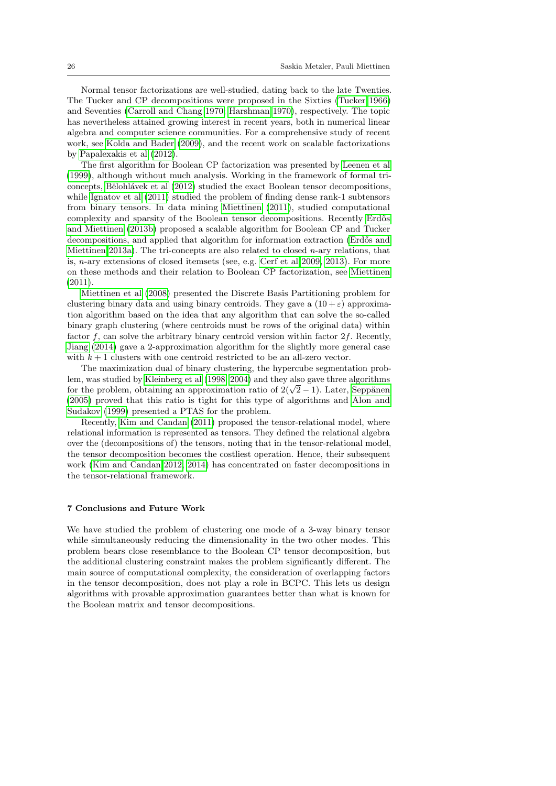Normal tensor factorizations are well-studied, dating back to the late Twenties. The Tucker and CP decompositions were proposed in the Sixties [\(Tucker 1966\)](#page-27-17) and Seventies [\(Carroll and Chang 1970;](#page-26-6) [Harshman 1970\)](#page-27-18), respectively. The topic has nevertheless attained growing interest in recent years, both in numerical linear algebra and computer science communities. For a comprehensive study of recent work, see [Kolda and Bader](#page-27-2) [\(2009\)](#page-27-2), and the recent work on scalable factorizations by [Papalexakis et al](#page-27-11) [\(2012\)](#page-27-11).

The first algorithm for Boolean CP factorization was presented by [Leenen et al](#page-27-19) [\(1999\)](#page-27-19), although without much analysis. Working in the framework of formal tri-concepts, Bělohlávek et al [\(2012\)](#page-26-7) studied the exact Boolean tensor decompositions, while [Ignatov et al](#page-27-20) [\(2011\)](#page-27-20) studied the problem of finding dense rank-1 subtensors from binary tensors. In data mining [Miettinen](#page-27-0) [\(2011\)](#page-27-0), studied computational complexity and sparsity of the Boolean tensor decompositions. Recently Erdős [and Miettinen](#page-27-1) [\(2013b\)](#page-27-1) proposed a scalable algorithm for Boolean CP and Tucker decompositions, and applied that algorithm for information extraction (Erdős and [Miettinen 2013a\)](#page-26-1). The tri-concepts are also related to closed n-ary relations, that is, n-ary extensions of closed itemsets (see, e.g. [Cerf et al 2009,](#page-26-8) [2013\)](#page-26-0). For more on these methods and their relation to Boolean CP factorization, see [Miettinen](#page-27-0) [\(2011\)](#page-27-0).

[Miettinen et al](#page-27-5) [\(2008\)](#page-27-5) presented the Discrete Basis Partitioning problem for clustering binary data and using binary centroids. They gave a  $(10 + \varepsilon)$  approximation algorithm based on the idea that any algorithm that can solve the so-called binary graph clustering (where centroids must be rows of the original data) within factor  $f$ , can solve the arbitrary binary centroid version within factor  $2f$ . Recently, [Jiang](#page-27-6) [\(2014\)](#page-27-6) gave a 2-approximation algorithm for the slightly more general case with  $k + 1$  clusters with one centroid restricted to be an all-zero vector.

The maximization dual of binary clustering, the hypercube segmentation problem, was studied by [Kleinberg et al](#page-27-21) [\(1998,](#page-27-21) [2004\)](#page-27-8) and they also gave three algorithms for the problem, obtaining an approximation ratio of  $2(\sqrt{2}-1)$ . Later, Seppänen [\(2005\)](#page-27-22) proved that this ratio is tight for this type of algorithms and [Alon and](#page-26-2) [Sudakov](#page-26-2) [\(1999\)](#page-26-2) presented a PTAS for the problem.

Recently, [Kim and Candan](#page-27-23) [\(2011\)](#page-27-23) proposed the tensor-relational model, where relational information is represented as tensors. They defined the relational algebra over the (decompositions of) the tensors, noting that in the tensor-relational model, the tensor decomposition becomes the costliest operation. Hence, their subsequent work [\(Kim and Candan 2012,](#page-27-24) [2014\)](#page-27-25) has concentrated on faster decompositions in the tensor-relational framework.

### 7 Conclusions and Future Work

We have studied the problem of clustering one mode of a 3-way binary tensor while simultaneously reducing the dimensionality in the two other modes. This problem bears close resemblance to the Boolean CP tensor decomposition, but the additional clustering constraint makes the problem significantly different. The main source of computational complexity, the consideration of overlapping factors in the tensor decomposition, does not play a role in BCPC. This lets us design algorithms with provable approximation guarantees better than what is known for the Boolean matrix and tensor decompositions.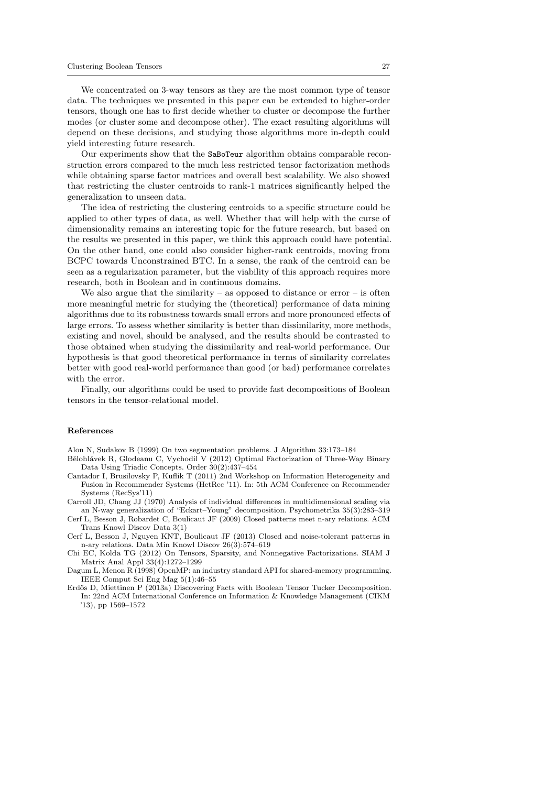We concentrated on 3-way tensors as they are the most common type of tensor data. The techniques we presented in this paper can be extended to higher-order tensors, though one has to first decide whether to cluster or decompose the further modes (or cluster some and decompose other). The exact resulting algorithms will depend on these decisions, and studying those algorithms more in-depth could yield interesting future research.

Our experiments show that the SaBoTeur algorithm obtains comparable reconstruction errors compared to the much less restricted tensor factorization methods while obtaining sparse factor matrices and overall best scalability. We also showed that restricting the cluster centroids to rank-1 matrices significantly helped the generalization to unseen data.

The idea of restricting the clustering centroids to a specific structure could be applied to other types of data, as well. Whether that will help with the curse of dimensionality remains an interesting topic for the future research, but based on the results we presented in this paper, we think this approach could have potential. On the other hand, one could also consider higher-rank centroids, moving from BCPC towards Unconstrained BTC. In a sense, the rank of the centroid can be seen as a regularization parameter, but the viability of this approach requires more research, both in Boolean and in continuous domains.

We also argue that the similarity – as opposed to distance or  $error -$  is often more meaningful metric for studying the (theoretical) performance of data mining algorithms due to its robustness towards small errors and more pronounced effects of large errors. To assess whether similarity is better than dissimilarity, more methods, existing and novel, should be analysed, and the results should be contrasted to those obtained when studying the dissimilarity and real-world performance. Our hypothesis is that good theoretical performance in terms of similarity correlates better with good real-world performance than good (or bad) performance correlates with the error.

Finally, our algorithms could be used to provide fast decompositions of Boolean tensors in the tensor-relational model.

#### References

<span id="page-26-2"></span>Alon N, Sudakov B (1999) On two segmentation problems. J Algorithm 33:173–184

- <span id="page-26-7"></span>Bělohlávek R, Glodeanu C, Vychodil V (2012) Optimal Factorization of Three-Way Binary Data Using Triadic Concepts. Order 30(2):437–454
- <span id="page-26-5"></span>Cantador I, Brusilovsky P, Kuflik T (2011) 2nd Workshop on Information Heterogeneity and Fusion in Recommender Systems (HetRec '11). In: 5th ACM Conference on Recommender Systems (RecSys'11)
- <span id="page-26-6"></span>Carroll JD, Chang JJ (1970) Analysis of individual differences in multidimensional scaling via an N-way generalization of "Eckart–Young" decomposition. Psychometrika 35(3):283–319
- <span id="page-26-8"></span>Cerf L, Besson J, Robardet C, Boulicaut JF (2009) Closed patterns meet n-ary relations. ACM Trans Knowl Discov Data 3(1)

<span id="page-26-0"></span>Cerf L, Besson J, Nguyen KNT, Boulicaut JF (2013) Closed and noise-tolerant patterns in n-ary relations. Data Min Knowl Discov 26(3):574–619

<span id="page-26-4"></span>Chi EC, Kolda TG (2012) On Tensors, Sparsity, and Nonnegative Factorizations. SIAM J Matrix Anal Appl 33(4):1272–1299

<span id="page-26-3"></span>Dagum L, Menon R (1998) OpenMP: an industry standard API for shared-memory programming. IEEE Comput Sci Eng Mag 5(1):46–55

<span id="page-26-1"></span>Erdős D, Miettinen P (2013a) Discovering Facts with Boolean Tensor Tucker Decomposition. In: 22nd ACM International Conference on Information & Knowledge Management (CIKM '13), pp 1569–1572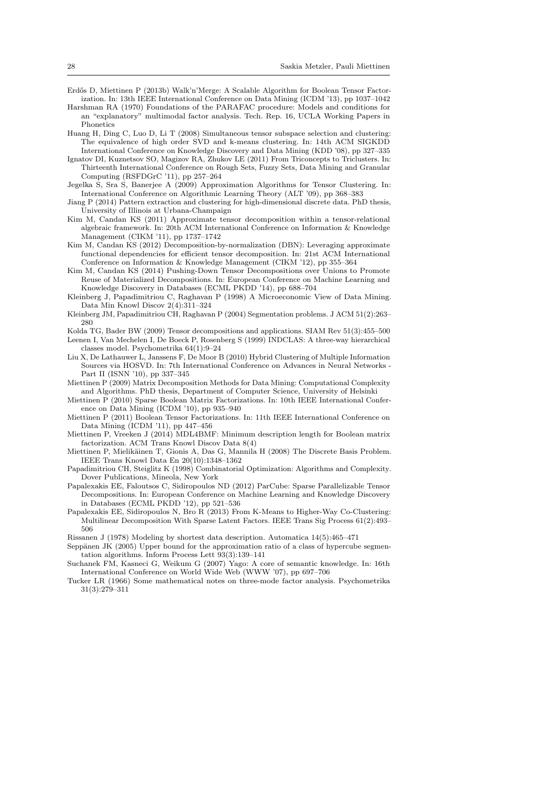- <span id="page-27-1"></span>Erdős D, Miettinen P (2013b) Walk'n'Merge: A Scalable Algorithm for Boolean Tensor Factorization. In: 13th IEEE International Conference on Data Mining (ICDM '13), pp 1037–1042
- <span id="page-27-18"></span>Harshman RA (1970) Foundations of the PARAFAC procedure: Models and conditions for an "explanatory" multimodal factor analysis. Tech. Rep. 16, UCLA Working Papers in Phonetics
- <span id="page-27-3"></span>Huang H, Ding C, Luo D, Li T (2008) Simultaneous tensor subspace selection and clustering: The equivalence of high order SVD and k-means clustering. In: 14th ACM SIGKDD International Conference on Knowledge Discovery and Data Mining (KDD '08), pp 327–335
- <span id="page-27-20"></span>Ignatov DI, Kuznetsov SO, Magizov RA, Zhukov LE (2011) From Triconcepts to Triclusters. In: Thirteenth International Conference on Rough Sets, Fuzzy Sets, Data Mining and Granular Computing (RSFDGrC '11), pp 257–264
- <span id="page-27-4"></span>Jegelka S, Sra S, Banerjee A (2009) Approximation Algorithms for Tensor Clustering. In: International Conference on Algorithmic Learning Theory (ALT '09), pp 368–383
- <span id="page-27-6"></span>Jiang P (2014) Pattern extraction and clustering for high-dimensional discrete data. PhD thesis, University of Illinois at Urbana-Champaign
- <span id="page-27-23"></span>Kim M, Candan KS (2011) Approximate tensor decomposition within a tensor-relational algebraic framework. In: 20th ACM International Conference on Information & Knowledge Management (CIKM '11), pp 1737–1742
- <span id="page-27-24"></span>Kim M, Candan KS (2012) Decomposition-by-normalization (DBN): Leveraging approximate functional dependencies for efficient tensor decomposition. In: 21st ACM International Conference on Information & Knowledge Management (CIKM '12), pp 355–364
- <span id="page-27-25"></span>Kim M, Candan KS (2014) Pushing-Down Tensor Decompositions over Unions to Promote Reuse of Materialized Decompositions. In: European Conference on Machine Learning and Knowledge Discovery in Databases (ECML PKDD '14), pp 688–704
- <span id="page-27-21"></span>Kleinberg J, Papadimitriou C, Raghavan P (1998) A Microeconomic View of Data Mining. Data Min Knowl Discov 2(4):311–324
- <span id="page-27-8"></span>Kleinberg JM, Papadimitriou CH, Raghavan P (2004) Segmentation problems. J ACM 51(2):263– 280
- <span id="page-27-19"></span><span id="page-27-2"></span>Kolda TG, Bader BW (2009) Tensor decompositions and applications. SIAM Rev 51(3):455–500 Leenen I, Van Mechelen I, De Boeck P, Rosenberg S (1999) INDCLAS: A three-way hierarchical
- <span id="page-27-16"></span>classes model. Psychometrika 64(1):9–24 Liu X, De Lathauwer L, Janssens F, De Moor B (2010) Hybrid Clustering of Multiple Information Sources via HOSVD. In: 7th International Conference on Advances in Neural Networks - Part II (ISNN '10), pp 337–345
- <span id="page-27-7"></span>Miettinen P (2009) Matrix Decomposition Methods for Data Mining: Computational Complexity and Algorithms. PhD thesis, Department of Computer Science, University of Helsinki
- <span id="page-27-14"></span>Miettinen P (2010) Sparse Boolean Matrix Factorizations. In: 10th IEEE International Conference on Data Mining (ICDM '10), pp 935–940
- <span id="page-27-0"></span>Miettinen P (2011) Boolean Tensor Factorizations. In: 11th IEEE International Conference on Data Mining (ICDM '11), pp 447–456
- <span id="page-27-10"></span>Miettinen P, Vreeken J (2014) MDL4BMF: Minimum description length for Boolean matrix factorization. ACM Trans Knowl Discov Data 8(4)
- <span id="page-27-5"></span>Miettinen P, Mielikäinen T, Gionis A, Das G, Mannila H (2008) The Discrete Basis Problem. IEEE Trans Knowl Data En 20(10):1348–1362
- <span id="page-27-12"></span>Papadimitriou CH, Steiglitz K (1998) Combinatorial Optimization: Algorithms and Complexity. Dover Publications, Mineola, New York
- <span id="page-27-11"></span>Papalexakis EE, Faloutsos C, Sidiropoulos ND (2012) ParCube: Sparse Parallelizable Tensor Decompositions. In: European Conference on Machine Learning and Knowledge Discovery in Databases (ECML PKDD '12), pp 521–536
- <span id="page-27-15"></span>Papalexakis EE, Sidiropoulos N, Bro R (2013) From K-Means to Higher-Way Co-Clustering: Multilinear Decomposition With Sparse Latent Factors. IEEE Trans Sig Process 61(2):493– 506
- <span id="page-27-9"></span>Rissanen J (1978) Modeling by shortest data description. Automatica 14(5):465–471
- <span id="page-27-22"></span>Seppänen JK (2005) Upper bound for the approximation ratio of a class of hypercube segmentation algorithms. Inform Process Lett 93(3):139–141
- <span id="page-27-13"></span>Suchanek FM, Kasneci G, Weikum G (2007) Yago: A core of semantic knowledge. In: 16th International Conference on World Wide Web (WWW '07), pp 697–706
- <span id="page-27-17"></span>Tucker LR (1966) Some mathematical notes on three-mode factor analysis. Psychometrika 31(3):279–311